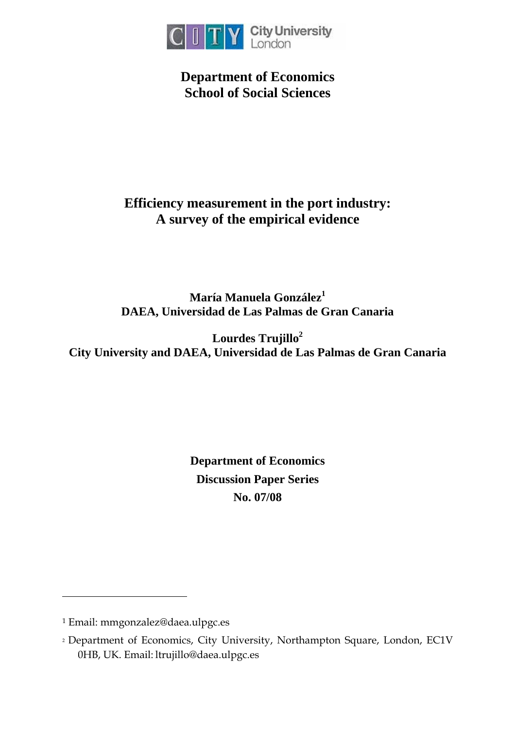

**Department of Economics School of Social Sciences** 

# **Efficiency measurement in the port industry: A survey of the empirical evidence**

**María Manuela González [1](#page-0-0) DAEA, Universidad de Las Palmas de Gran Canaria** 

**Lourdes Trujill[o2](#page-0-1) City University and DAEA, Universidad de Las Palmas de Gran Canaria** 

> **Department of Economics Discussion Paper Series No. 07/08**

 $\overline{a}$ 

<span id="page-0-0"></span><sup>1</sup> Email: mmgonzalez@daea.ulpgc.es

<span id="page-0-1"></span><sup>2</sup> Department of Economics, City University, Northampton Square, London, EC1V 0HB, UK. Email: ltrujillo@daea.ulpgc.es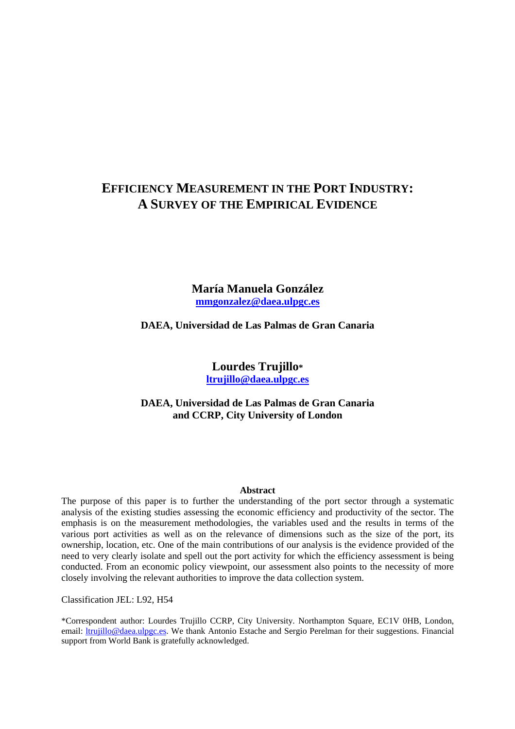# **EFFICIENCY MEASUREMENT IN THE PORT INDUSTRY: A SURVEY OF THE EMPIRICAL EVIDENCE**

**María Manuela González mmgonzalez@daea.ulpgc.es**

**DAEA, Universidad de Las Palmas de Gran Canaria** 

**Lourdes Trujillo\* ltrujillo@daea.ulpgc.es**

**DAEA, Universidad de Las Palmas de Gran Canaria and CCRP, City University of London** 

#### **Abstract**

The purpose of this paper is to further the understanding of the port sector through a systematic analysis of the existing studies assessing the economic efficiency and productivity of the sector. The emphasis is on the measurement methodologies, the variables used and the results in terms of the various port activities as well as on the relevance of dimensions such as the size of the port, its ownership, location, etc. One of the main contributions of our analysis is the evidence provided of the need to very clearly isolate and spell out the port activity for which the efficiency assessment is being conducted. From an economic policy viewpoint, our assessment also points to the necessity of more closely involving the relevant authorities to improve the data collection system.

Classification JEL: L92, H54

\*Correspondent author: Lourdes Trujillo CCRP, City University. Northampton Square, EC1V 0HB, London, email: ltrujillo@daea.ulpgc.es. We thank Antonio Estache and Sergio Perelman for their suggestions. Financial support from World Bank is gratefully acknowledged.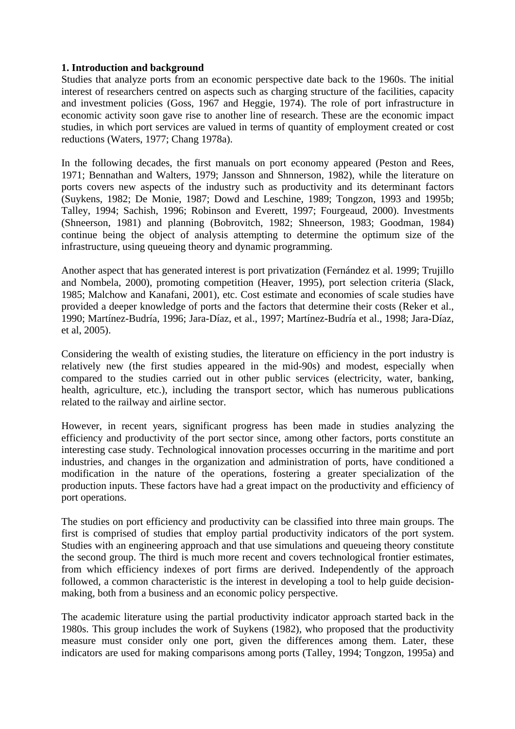# **1. Introduction and background**

Studies that analyze ports from an economic perspective date back to the 1960s. The initial interest of researchers centred on aspects such as charging structure of the facilities, capacity and investment policies (Goss, 1967 and Heggie, 1974). The role of port infrastructure in economic activity soon gave rise to another line of research. These are the economic impact studies, in which port services are valued in terms of quantity of employment created or cost reductions (Waters, 1977; Chang 1978a).

In the following decades, the first manuals on port economy appeared (Peston and Rees, 1971; Bennathan and Walters, 1979; Jansson and Shnnerson, 1982), while the literature on ports covers new aspects of the industry such as productivity and its determinant factors (Suykens, 1982; De Monie, 1987; Dowd and Leschine, 1989; Tongzon, 1993 and 1995b; Talley, 1994; Sachish, 1996; Robinson and Everett, 1997; Fourgeaud, 2000). Investments (Shneerson, 1981) and planning (Bobrovitch, 1982; Shneerson, 1983; Goodman, 1984) continue being the object of analysis attempting to determine the optimum size of the infrastructure, using queueing theory and dynamic programming.

Another aspect that has generated interest is port privatization (Fernández et al. 1999; Trujillo and Nombela, 2000), promoting competition (Heaver, 1995), port selection criteria (Slack, 1985; Malchow and Kanafani, 2001), etc. Cost estimate and economies of scale studies have provided a deeper knowledge of ports and the factors that determine their costs (Reker et al., 1990; Martínez-Budría, 1996; Jara-Díaz, et al., 1997; Martínez-Budría et al., 1998; Jara-Díaz, et al, 2005).

Considering the wealth of existing studies, the literature on efficiency in the port industry is relatively new (the first studies appeared in the mid-90s) and modest, especially when compared to the studies carried out in other public services (electricity, water, banking, health, agriculture, etc.), including the transport sector, which has numerous publications related to the railway and airline sector.

However, in recent years, significant progress has been made in studies analyzing the efficiency and productivity of the port sector since, among other factors, ports constitute an interesting case study. Technological innovation processes occurring in the maritime and port industries, and changes in the organization and administration of ports, have conditioned a modification in the nature of the operations, fostering a greater specialization of the production inputs. These factors have had a great impact on the productivity and efficiency of port operations.

The studies on port efficiency and productivity can be classified into three main groups. The first is comprised of studies that employ partial productivity indicators of the port system. Studies with an engineering approach and that use simulations and queueing theory constitute the second group. The third is much more recent and covers technological frontier estimates, from which efficiency indexes of port firms are derived. Independently of the approach followed, a common characteristic is the interest in developing a tool to help guide decisionmaking, both from a business and an economic policy perspective.

The academic literature using the partial productivity indicator approach started back in the 1980s. This group includes the work of Suykens (1982), who proposed that the productivity measure must consider only one port, given the differences among them. Later, these indicators are used for making comparisons among ports (Talley, 1994; Tongzon, 1995a) and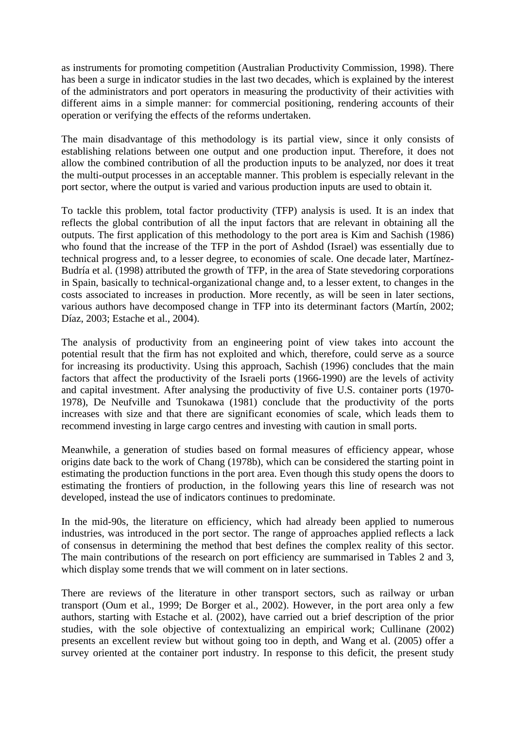as instruments for promoting competition (Australian Productivity Commission, 1998). There has been a surge in indicator studies in the last two decades, which is explained by the interest of the administrators and port operators in measuring the productivity of their activities with different aims in a simple manner: for commercial positioning, rendering accounts of their operation or verifying the effects of the reforms undertaken.

The main disadvantage of this methodology is its partial view, since it only consists of establishing relations between one output and one production input. Therefore, it does not allow the combined contribution of all the production inputs to be analyzed, nor does it treat the multi-output processes in an acceptable manner. This problem is especially relevant in the port sector, where the output is varied and various production inputs are used to obtain it.

To tackle this problem, total factor productivity (TFP) analysis is used. It is an index that reflects the global contribution of all the input factors that are relevant in obtaining all the outputs. The first application of this methodology to the port area is Kim and Sachish (1986) who found that the increase of the TFP in the port of Ashdod (Israel) was essentially due to technical progress and, to a lesser degree, to economies of scale. One decade later, Martínez-Budría et al. (1998) attributed the growth of TFP, in the area of State stevedoring corporations in Spain, basically to technical-organizational change and, to a lesser extent, to changes in the costs associated to increases in production. More recently, as will be seen in later sections, various authors have decomposed change in TFP into its determinant factors (Martín, 2002; Díaz, 2003; Estache et al., 2004).

The analysis of productivity from an engineering point of view takes into account the potential result that the firm has not exploited and which, therefore, could serve as a source for increasing its productivity. Using this approach, Sachish (1996) concludes that the main factors that affect the productivity of the Israeli ports (1966-1990) are the levels of activity and capital investment. After analysing the productivity of five U.S. container ports (1970- 1978), De Neufville and Tsunokawa (1981) conclude that the productivity of the ports increases with size and that there are significant economies of scale, which leads them to recommend investing in large cargo centres and investing with caution in small ports.

Meanwhile, a generation of studies based on formal measures of efficiency appear, whose origins date back to the work of Chang (1978b), which can be considered the starting point in estimating the production functions in the port area. Even though this study opens the doors to estimating the frontiers of production, in the following years this line of research was not developed, instead the use of indicators continues to predominate.

In the mid-90s, the literature on efficiency, which had already been applied to numerous industries, was introduced in the port sector. The range of approaches applied reflects a lack of consensus in determining the method that best defines the complex reality of this sector. The main contributions of the research on port efficiency are summarised in Tables 2 and 3, which display some trends that we will comment on in later sections.

There are reviews of the literature in other transport sectors, such as railway or urban transport (Oum et al., 1999; De Borger et al., 2002). However, in the port area only a few authors, starting with Estache et al. (2002), have carried out a brief description of the prior studies, with the sole objective of contextualizing an empirical work; Cullinane (2002) presents an excellent review but without going too in depth, and Wang et al. (2005) offer a survey oriented at the container port industry. In response to this deficit, the present study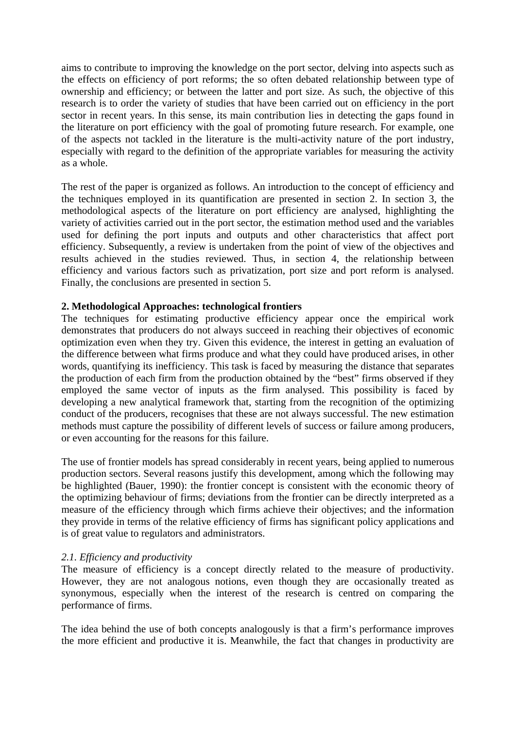aims to contribute to improving the knowledge on the port sector, delving into aspects such as the effects on efficiency of port reforms; the so often debated relationship between type of ownership and efficiency; or between the latter and port size. As such, the objective of this research is to order the variety of studies that have been carried out on efficiency in the port sector in recent years. In this sense, its main contribution lies in detecting the gaps found in the literature on port efficiency with the goal of promoting future research. For example, one of the aspects not tackled in the literature is the multi-activity nature of the port industry, especially with regard to the definition of the appropriate variables for measuring the activity as a whole.

The rest of the paper is organized as follows. An introduction to the concept of efficiency and the techniques employed in its quantification are presented in section 2. In section 3, the methodological aspects of the literature on port efficiency are analysed, highlighting the variety of activities carried out in the port sector, the estimation method used and the variables used for defining the port inputs and outputs and other characteristics that affect port efficiency. Subsequently, a review is undertaken from the point of view of the objectives and results achieved in the studies reviewed. Thus, in section 4, the relationship between efficiency and various factors such as privatization, port size and port reform is analysed. Finally, the conclusions are presented in section 5.

# **2. Methodological Approaches: technological frontiers**

The techniques for estimating productive efficiency appear once the empirical work demonstrates that producers do not always succeed in reaching their objectives of economic optimization even when they try. Given this evidence, the interest in getting an evaluation of the difference between what firms produce and what they could have produced arises, in other words, quantifying its inefficiency. This task is faced by measuring the distance that separates the production of each firm from the production obtained by the "best" firms observed if they employed the same vector of inputs as the firm analysed. This possibility is faced by developing a new analytical framework that, starting from the recognition of the optimizing conduct of the producers, recognises that these are not always successful. The new estimation methods must capture the possibility of different levels of success or failure among producers, or even accounting for the reasons for this failure.

The use of frontier models has spread considerably in recent years, being applied to numerous production sectors. Several reasons justify this development, among which the following may be highlighted (Bauer, 1990): the frontier concept is consistent with the economic theory of the optimizing behaviour of firms; deviations from the frontier can be directly interpreted as a measure of the efficiency through which firms achieve their objectives; and the information they provide in terms of the relative efficiency of firms has significant policy applications and is of great value to regulators and administrators.

#### *2.1. Efficiency and productivity*

The measure of efficiency is a concept directly related to the measure of productivity. However, they are not analogous notions, even though they are occasionally treated as synonymous, especially when the interest of the research is centred on comparing the performance of firms.

The idea behind the use of both concepts analogously is that a firm's performance improves the more efficient and productive it is. Meanwhile, the fact that changes in productivity are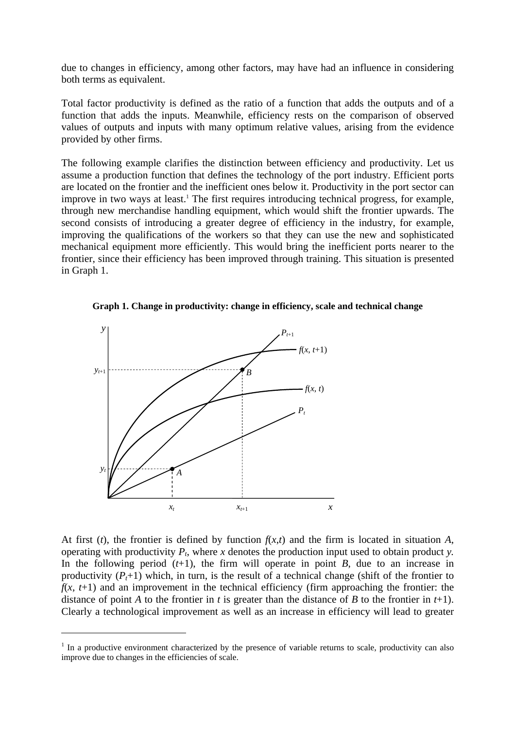due to changes in efficiency, among other factors, may have had an influence in considering both terms as equivalent.

Total factor productivity is defined as the ratio of a function that adds the outputs and of a function that adds the inputs. Meanwhile, efficiency rests on the comparison of observed values of outputs and inputs with many optimum relative values, arising from the evidence provided by other firms.

The following example clarifies the distinction between efficiency and productivity. Let us assume a production function that defines the technology of the port industry. Efficient ports are located on the frontier and the inefficient ones below it. Productivity in the port sector can improve in two ways at least.<sup>1</sup> The first requires introducing technical progress, for example, through new merchandise handling equipment, which would shift the frontier upwards. The second consists of introducing a greater degree of efficiency in the industry, for example, improving the qualifications of the workers so that they can use the new and sophisticated mechanical equipment more efficiently. This would bring the inefficient ports nearer to the frontier, since their efficiency has been improved through training. This situation is presented in Graph 1.





 $\overline{\phantom{a}}$ 

At first  $(t)$ , the frontier is defined by function  $f(x,t)$  and the firm is located in situation *A*, operating with productivity  $P_t$ , where  $x$  denotes the production input used to obtain product  $y$ . In the following period  $(t+1)$ , the firm will operate in point *B*, due to an increase in productivity  $(P_t+1)$  which, in turn, is the result of a technical change (shift of the frontier to  $f(x, t+1)$  and an improvement in the technical efficiency (firm approaching the frontier: the distance of point *A* to the frontier in *t* is greater than the distance of *B* to the frontier in  $t+1$ ). Clearly a technological improvement as well as an increase in efficiency will lead to greater

 $<sup>1</sup>$  In a productive environment characterized by the presence of variable returns to scale, productivity can also</sup> improve due to changes in the efficiencies of scale.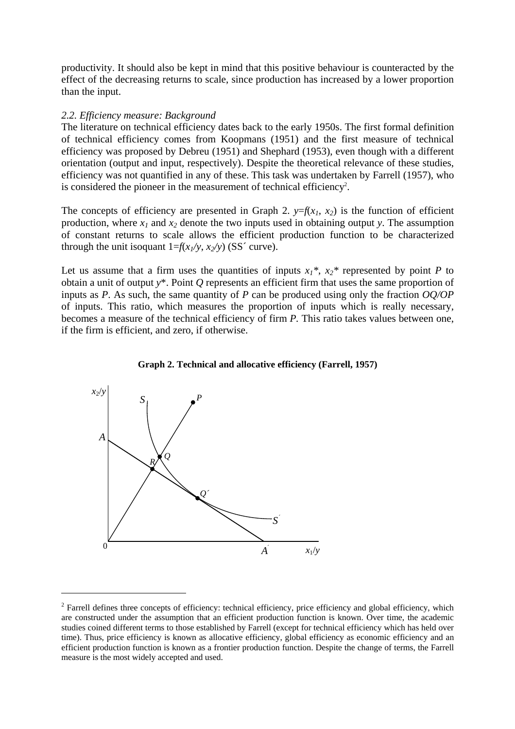productivity. It should also be kept in mind that this positive behaviour is counteracted by the effect of the decreasing returns to scale, since production has increased by a lower proportion than the input.

#### *2.2. Efficiency measure: Background*

The literature on technical efficiency dates back to the early 1950s. The first formal definition of technical efficiency comes from Koopmans (1951) and the first measure of technical efficiency was proposed by Debreu (1951) and Shephard (1953), even though with a different orientation (output and input, respectively). Despite the theoretical relevance of these studies, efficiency was not quantified in any of these. This task was undertaken by Farrell (1957), who is considered the pioneer in the measurement of technical efficiency<sup>2</sup>.

The concepts of efficiency are presented in Graph 2.  $y=f(x_1, x_2)$  is the function of efficient production, where  $x_1$  and  $x_2$  denote the two inputs used in obtaining output *y*. The assumption of constant returns to scale allows the efficient production function to be characterized through the unit isoquant  $1=f(x_1/y, x_2/y)$  (SS<sup> $\prime$ </sup> curve).

Let us assume that a firm uses the quantities of inputs  $x_1^*$ ,  $x_2^*$  represented by point *P* to obtain a unit of output *y*\*. Point *Q* represents an efficient firm that uses the same proportion of inputs as *P*. As such, the same quantity of *P* can be produced using only the fraction *OQ/OP* of inputs. This ratio, which measures the proportion of inputs which is really necessary, becomes a measure of the technical efficiency of firm *P.* This ratio takes values between one, if the firm is efficient, and zero, if otherwise.



 $\overline{\phantom{a}}$ 



 $2^2$  Farrell defines three concepts of efficiency: technical efficiency, price efficiency and global efficiency, which are constructed under the assumption that an efficient production function is known. Over time, the academic studies coined different terms to those established by Farrell (except for technical efficiency which has held over time). Thus, price efficiency is known as allocative efficiency, global efficiency as economic efficiency and an efficient production function is known as a frontier production function. Despite the change of terms, the Farrell measure is the most widely accepted and used.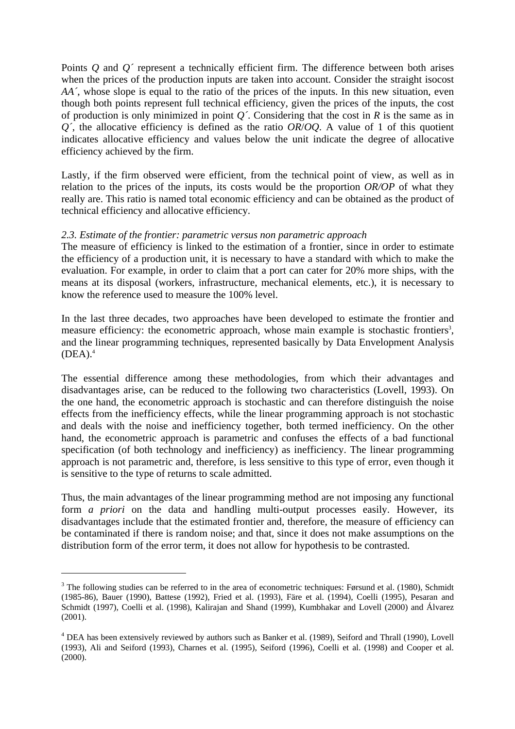Points *Q* and *Q'* represent a technically efficient firm. The difference between both arises when the prices of the production inputs are taken into account. Consider the straight isocost *AA´*, whose slope is equal to the ratio of the prices of the inputs. In this new situation, even though both points represent full technical efficiency, given the prices of the inputs, the cost of production is only minimized in point *Q´*. Considering that the cost in *R* is the same as in *Q´*, the allocative efficiency is defined as the ratio *OR*/*OQ*. A value of 1 of this quotient indicates allocative efficiency and values below the unit indicate the degree of allocative efficiency achieved by the firm.

Lastly, if the firm observed were efficient, from the technical point of view, as well as in relation to the prices of the inputs, its costs would be the proportion *OR/OP* of what they really are. This ratio is named total economic efficiency and can be obtained as the product of technical efficiency and allocative efficiency.

# *2.3. Estimate of the frontier: parametric versus non parametric approach*

The measure of efficiency is linked to the estimation of a frontier, since in order to estimate the efficiency of a production unit, it is necessary to have a standard with which to make the evaluation. For example, in order to claim that a port can cater for 20% more ships, with the means at its disposal (workers, infrastructure, mechanical elements, etc.), it is necessary to know the reference used to measure the 100% level.

In the last three decades, two approaches have been developed to estimate the frontier and measure efficiency: the econometric approach, whose main example is stochastic frontiers<sup>3</sup>, and the linear programming techniques, represented basically by Data Envelopment Analysis  $(DEA).<sup>4</sup>$ 

The essential difference among these methodologies, from which their advantages and disadvantages arise, can be reduced to the following two characteristics (Lovell, 1993). On the one hand, the econometric approach is stochastic and can therefore distinguish the noise effects from the inefficiency effects, while the linear programming approach is not stochastic and deals with the noise and inefficiency together, both termed inefficiency. On the other hand, the econometric approach is parametric and confuses the effects of a bad functional specification (of both technology and inefficiency) as inefficiency. The linear programming approach is not parametric and, therefore, is less sensitive to this type of error, even though it is sensitive to the type of returns to scale admitted.

Thus, the main advantages of the linear programming method are not imposing any functional form *a priori* on the data and handling multi-output processes easily. However, its disadvantages include that the estimated frontier and, therefore, the measure of efficiency can be contaminated if there is random noise; and that, since it does not make assumptions on the distribution form of the error term, it does not allow for hypothesis to be contrasted.

 $\overline{a}$ 

 $3$  The following studies can be referred to in the area of econometric techniques: Førsund et al. (1980), Schmidt (1985-86), Bauer (1990), Battese (1992), Fried et al. (1993), Färe et al. (1994), Coelli (1995), Pesaran and Schmidt (1997), Coelli et al. (1998), Kalirajan and Shand (1999), Kumbhakar and Lovell (2000) and Álvarez (2001).

<sup>&</sup>lt;sup>4</sup> DEA has been extensively reviewed by authors such as Banker et al. (1989), Seiford and Thrall (1990), Lovell (1993), Ali and Seiford (1993), Charnes et al. (1995), Seiford (1996), Coelli et al. (1998) and Cooper et al. (2000).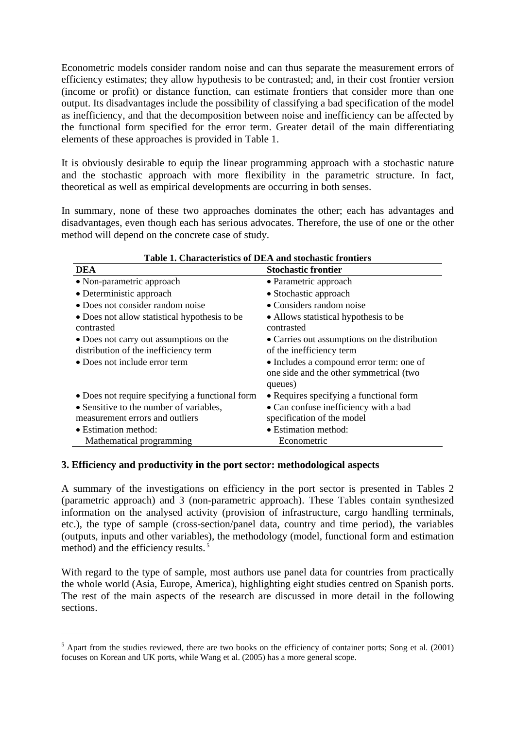Econometric models consider random noise and can thus separate the measurement errors of efficiency estimates; they allow hypothesis to be contrasted; and, in their cost frontier version (income or profit) or distance function, can estimate frontiers that consider more than one output. Its disadvantages include the possibility of classifying a bad specification of the model as inefficiency, and that the decomposition between noise and inefficiency can be affected by the functional form specified for the error term. Greater detail of the main differentiating elements of these approaches is provided in Table 1.

It is obviously desirable to equip the linear programming approach with a stochastic nature and the stochastic approach with more flexibility in the parametric structure. In fact, theoretical as well as empirical developments are occurring in both senses.

In summary, none of these two approaches dominates the other; each has advantages and disadvantages, even though each has serious advocates. Therefore, the use of one or the other method will depend on the concrete case of study.

| Table 1. Characteristics of DEA and stochastic frontiers    |                                                                                                |  |  |  |  |  |
|-------------------------------------------------------------|------------------------------------------------------------------------------------------------|--|--|--|--|--|
| <b>DEA</b>                                                  | <b>Stochastic frontier</b>                                                                     |  |  |  |  |  |
| • Non-parametric approach                                   | • Parametric approach                                                                          |  |  |  |  |  |
| • Deterministic approach                                    | • Stochastic approach                                                                          |  |  |  |  |  |
| • Does not consider random noise                            | • Considers random noise                                                                       |  |  |  |  |  |
| • Does not allow statistical hypothesis to be<br>contrasted | • Allows statistical hypothesis to be<br>contrasted                                            |  |  |  |  |  |
| • Does not carry out assumptions on the                     | • Carries out assumptions on the distribution                                                  |  |  |  |  |  |
| distribution of the inefficiency term                       | of the inefficiency term                                                                       |  |  |  |  |  |
| • Does not include error term                               | • Includes a compound error term: one of<br>one side and the other symmetrical (two<br>queues) |  |  |  |  |  |
| • Does not require specifying a functional form             | • Requires specifying a functional form                                                        |  |  |  |  |  |
| • Sensitive to the number of variables,                     | • Can confuse inefficiency with a bad                                                          |  |  |  |  |  |
| measurement errors and outliers                             | specification of the model                                                                     |  |  |  |  |  |
| • Estimation method:                                        | • Estimation method:                                                                           |  |  |  |  |  |
| Mathematical programming                                    | Econometric                                                                                    |  |  |  |  |  |

# **Table 1. Characteristics of DEA and stochastic frontiers**

#### **3. Efficiency and productivity in the port sector: methodological aspects**

 $\overline{\phantom{a}}$ 

A summary of the investigations on efficiency in the port sector is presented in Tables 2 (parametric approach) and 3 (non-parametric approach). These Tables contain synthesized information on the analysed activity (provision of infrastructure, cargo handling terminals, etc.), the type of sample (cross-section/panel data, country and time period), the variables (outputs, inputs and other variables), the methodology (model, functional form and estimation method) and the efficiency results.<sup>5</sup>

With regard to the type of sample, most authors use panel data for countries from practically the whole world (Asia, Europe, America), highlighting eight studies centred on Spanish ports. The rest of the main aspects of the research are discussed in more detail in the following sections.

 $<sup>5</sup>$  Apart from the studies reviewed, there are two books on the efficiency of container ports; Song et al. (2001)</sup> focuses on Korean and UK ports, while Wang et al. (2005) has a more general scope.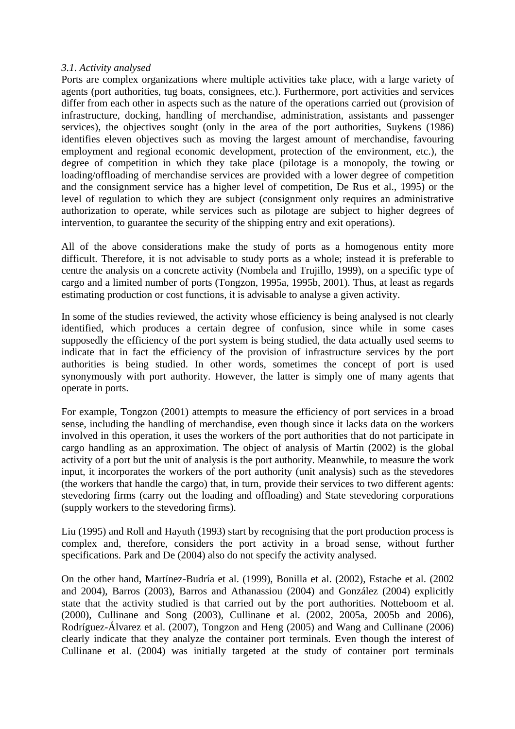#### *3.1. Activity analysed*

Ports are complex organizations where multiple activities take place, with a large variety of agents (port authorities, tug boats, consignees, etc.). Furthermore, port activities and services differ from each other in aspects such as the nature of the operations carried out (provision of infrastructure, docking, handling of merchandise, administration, assistants and passenger services), the objectives sought (only in the area of the port authorities, Suykens (1986) identifies eleven objectives such as moving the largest amount of merchandise, favouring employment and regional economic development, protection of the environment, etc.), the degree of competition in which they take place (pilotage is a monopoly, the towing or loading/offloading of merchandise services are provided with a lower degree of competition and the consignment service has a higher level of competition, De Rus et al., 1995) or the level of regulation to which they are subject (consignment only requires an administrative authorization to operate, while services such as pilotage are subject to higher degrees of intervention, to guarantee the security of the shipping entry and exit operations).

All of the above considerations make the study of ports as a homogenous entity more difficult. Therefore, it is not advisable to study ports as a whole; instead it is preferable to centre the analysis on a concrete activity (Nombela and Trujillo, 1999), on a specific type of cargo and a limited number of ports (Tongzon, 1995a, 1995b, 2001). Thus, at least as regards estimating production or cost functions, it is advisable to analyse a given activity.

In some of the studies reviewed, the activity whose efficiency is being analysed is not clearly identified, which produces a certain degree of confusion, since while in some cases supposedly the efficiency of the port system is being studied, the data actually used seems to indicate that in fact the efficiency of the provision of infrastructure services by the port authorities is being studied. In other words, sometimes the concept of port is used synonymously with port authority. However, the latter is simply one of many agents that operate in ports.

For example, Tongzon (2001) attempts to measure the efficiency of port services in a broad sense, including the handling of merchandise, even though since it lacks data on the workers involved in this operation, it uses the workers of the port authorities that do not participate in cargo handling as an approximation. The object of analysis of Martín (2002) is the global activity of a port but the unit of analysis is the port authority. Meanwhile, to measure the work input, it incorporates the workers of the port authority (unit analysis) such as the stevedores (the workers that handle the cargo) that, in turn, provide their services to two different agents: stevedoring firms (carry out the loading and offloading) and State stevedoring corporations (supply workers to the stevedoring firms).

Liu (1995) and Roll and Hayuth (1993) start by recognising that the port production process is complex and, therefore, considers the port activity in a broad sense, without further specifications. Park and De (2004) also do not specify the activity analysed.

On the other hand, Martínez-Budría et al. (1999), Bonilla et al. (2002), Estache et al. (2002 and 2004), Barros (2003), Barros and Athanassiou (2004) and González (2004) explicitly state that the activity studied is that carried out by the port authorities. Notteboom et al. (2000), Cullinane and Song (2003), Cullinane et al. (2002, 2005a, 2005b and 2006), Rodríguez-Álvarez et al. (2007), Tongzon and Heng (2005) and Wang and Cullinane (2006) clearly indicate that they analyze the container port terminals. Even though the interest of Cullinane et al. (2004) was initially targeted at the study of container port terminals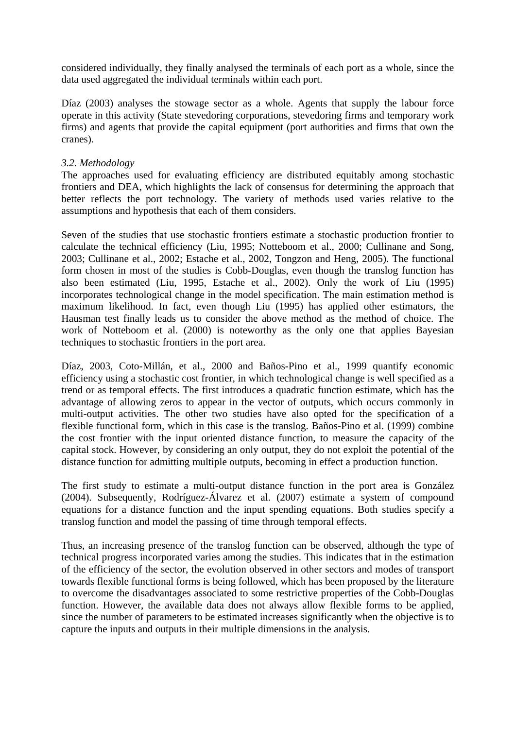considered individually, they finally analysed the terminals of each port as a whole, since the data used aggregated the individual terminals within each port.

Díaz (2003) analyses the stowage sector as a whole. Agents that supply the labour force operate in this activity (State stevedoring corporations, stevedoring firms and temporary work firms) and agents that provide the capital equipment (port authorities and firms that own the cranes).

# *3.2. Methodology*

The approaches used for evaluating efficiency are distributed equitably among stochastic frontiers and DEA, which highlights the lack of consensus for determining the approach that better reflects the port technology. The variety of methods used varies relative to the assumptions and hypothesis that each of them considers.

Seven of the studies that use stochastic frontiers estimate a stochastic production frontier to calculate the technical efficiency (Liu, 1995; Notteboom et al., 2000; Cullinane and Song, 2003; Cullinane et al., 2002; Estache et al., 2002, Tongzon and Heng, 2005). The functional form chosen in most of the studies is Cobb-Douglas, even though the translog function has also been estimated (Liu, 1995, Estache et al., 2002). Only the work of Liu (1995) incorporates technological change in the model specification. The main estimation method is maximum likelihood. In fact, even though Liu (1995) has applied other estimators, the Hausman test finally leads us to consider the above method as the method of choice. The work of Notteboom et al. (2000) is noteworthy as the only one that applies Bayesian techniques to stochastic frontiers in the port area.

Díaz, 2003, Coto-Millán, et al., 2000 and Baños-Pino et al., 1999 quantify economic efficiency using a stochastic cost frontier, in which technological change is well specified as a trend or as temporal effects. The first introduces a quadratic function estimate, which has the advantage of allowing zeros to appear in the vector of outputs, which occurs commonly in multi-output activities. The other two studies have also opted for the specification of a flexible functional form, which in this case is the translog. Baños-Pino et al. (1999) combine the cost frontier with the input oriented distance function, to measure the capacity of the capital stock. However, by considering an only output, they do not exploit the potential of the distance function for admitting multiple outputs, becoming in effect a production function.

The first study to estimate a multi-output distance function in the port area is González (2004). Subsequently, Rodríguez-Álvarez et al. (2007) estimate a system of compound equations for a distance function and the input spending equations. Both studies specify a translog function and model the passing of time through temporal effects.

Thus, an increasing presence of the translog function can be observed, although the type of technical progress incorporated varies among the studies. This indicates that in the estimation of the efficiency of the sector, the evolution observed in other sectors and modes of transport towards flexible functional forms is being followed, which has been proposed by the literature to overcome the disadvantages associated to some restrictive properties of the Cobb-Douglas function. However, the available data does not always allow flexible forms to be applied, since the number of parameters to be estimated increases significantly when the objective is to capture the inputs and outputs in their multiple dimensions in the analysis.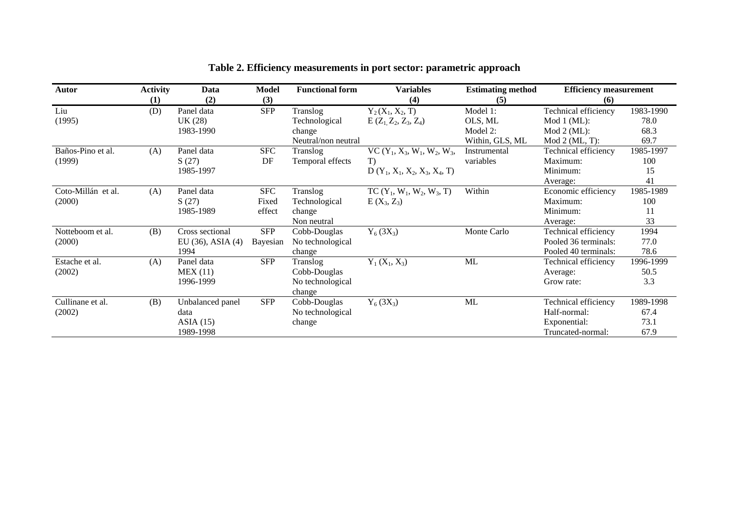| <b>Autor</b>       | <b>Activity</b> | Data                   | <b>Model</b> | <b>Functional form</b> | <b>Variables</b>                | <b>Estimating method</b> | <b>Efficiency measurement</b> |           |
|--------------------|-----------------|------------------------|--------------|------------------------|---------------------------------|--------------------------|-------------------------------|-----------|
|                    | (1)             | (2)                    | (3)          |                        | (4)                             | (5)                      | (6)                           |           |
| Liu                | (D)             | Panel data             | <b>SFP</b>   | Translog               | $Y_2(X_1, X_2, T)$              | Model 1:                 | Technical efficiency          | 1983-1990 |
| (1995)             |                 | UK (28)                |              | Technological          | $E(Z_1, Z_2, Z_3, Z_4)$         | OLS, ML                  | Mod 1 (ML):                   | 78.0      |
|                    |                 | 1983-1990              |              | change                 |                                 | Model 2:                 | Mod 2 (ML):                   | 68.3      |
|                    |                 |                        |              | Neutral/non neutral    |                                 | Within, GLS, ML          | $Mod 2 (ML, T)$ :             | 69.7      |
| Baños-Pino et al.  | (A)             | Panel data             | <b>SFC</b>   | Translog               | VC $(Y_1, X_3, W_1, W_2, W_3,$  | Instrumental             | Technical efficiency          | 1985-1997 |
| (1999)             |                 | S(27)                  | DF           | Temporal effects       | T)                              | variables                | Maximum:                      | 100       |
|                    |                 | 1985-1997              |              |                        | $D(Y_1, X_1, X_2, X_3, X_4, T)$ |                          | Minimum:                      | 15        |
|                    |                 |                        |              |                        |                                 |                          | Average:                      | 41        |
| Coto-Millán et al. | (A)             | Panel data             | <b>SFC</b>   | Translog               | $TC(Y_1, W_1, W_2, W_3, T)$     | Within                   | Economic efficiency           | 1985-1989 |
| (2000)             |                 | S(27)                  | Fixed        | Technological          | $E(X_3, Z_3)$                   |                          | Maximum:                      | 100       |
|                    |                 | 1985-1989              | effect       | change                 |                                 |                          | Minimum:                      | 11        |
|                    |                 |                        |              | Non neutral            |                                 |                          | Average:                      | 33        |
| Notteboom et al.   | (B)             | Cross sectional        | <b>SFP</b>   | Cobb-Douglas           | $Y_6(3X_3)$                     | Monte Carlo              | Technical efficiency          | 1994      |
| (2000)             |                 | EU $(36)$ , ASIA $(4)$ | Bayesian     | No technological       |                                 |                          | Pooled 36 terminals:          | 77.0      |
|                    |                 | 1994                   |              | change                 |                                 |                          | Pooled 40 terminals:          | 78.6      |
| Estache et al.     | (A)             | Panel data             | <b>SFP</b>   | Translog               | $Y_1(X_1, X_3)$                 | ML                       | Technical efficiency          | 1996-1999 |
| (2002)             |                 | MEX(11)                |              | Cobb-Douglas           |                                 |                          | Average:                      | 50.5      |
|                    |                 | 1996-1999              |              | No technological       |                                 |                          | Grow rate:                    | 3.3       |
|                    |                 |                        |              | change                 |                                 |                          |                               |           |
| Cullinane et al.   | (B)             | Unbalanced panel       | <b>SFP</b>   | Cobb-Douglas           | $Y_6(3X_3)$                     | ML                       | Technical efficiency          | 1989-1998 |
| (2002)             |                 | data                   |              | No technological       |                                 |                          | Half-normal:                  | 67.4      |
|                    |                 | ASIA(15)               |              | change                 |                                 |                          | Exponential:                  | 73.1      |
|                    |                 | 1989-1998              |              |                        |                                 |                          | Truncated-normal:             | 67.9      |

# **Table 2. Efficiency measurements in port sector: parametric approach**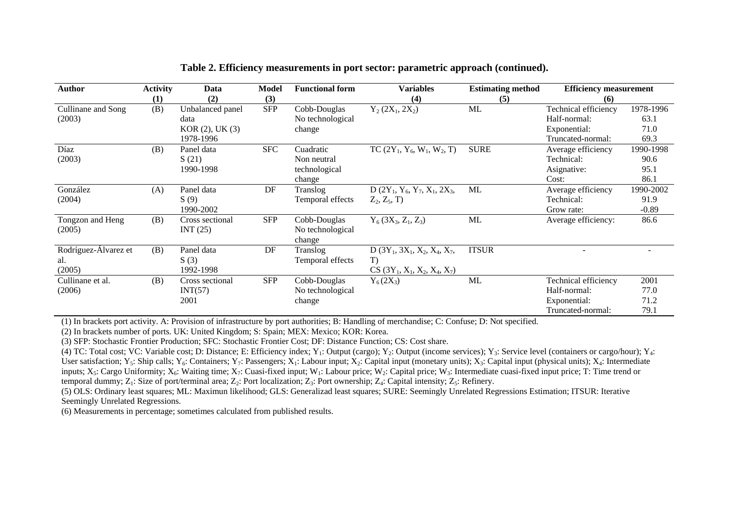| Author               | <b>Activity</b> | Data                | Model      | <b>Functional form</b> | <b>Variables</b>                 | <b>Estimating method</b> | <b>Efficiency measurement</b> |           |
|----------------------|-----------------|---------------------|------------|------------------------|----------------------------------|--------------------------|-------------------------------|-----------|
|                      | (1)             | (2)                 | (3)        |                        | (4)                              | (5)                      | (6)                           |           |
| Cullinane and Song   | (B)             | Unbalanced panel    | <b>SFP</b> | Cobb-Douglas           | $Y_2(2X_1, 2X_2)$                | ML                       | Technical efficiency          | 1978-1996 |
| (2003)               |                 | data                |            | No technological       |                                  |                          | Half-normal:                  | 63.1      |
|                      |                 | $KOR(2)$ , UK $(3)$ |            | change                 |                                  |                          | Exponential:                  | 71.0      |
|                      |                 | 1978-1996           |            |                        |                                  |                          | Truncated-normal:             | 69.3      |
| Díaz                 | (B)             | Panel data          | <b>SFC</b> | Cuadratic              | TC $(2Y_1, Y_6, W_1, W_2, T)$    | <b>SURE</b>              | Average efficiency            | 1990-1998 |
| (2003)               |                 | S(21)               |            | Non neutral            |                                  |                          | Technical:                    | 90.6      |
|                      |                 | 1990-1998           |            | technological          |                                  |                          | Asignative:                   | 95.1      |
|                      |                 |                     |            | change                 |                                  |                          | Cost:                         | 86.1      |
| González             | (A)             | Panel data          | DF         | Translog               | $D(2Y_1, Y_6, Y_7, X_1, 2X_3,$   | ML                       | Average efficiency            | 1990-2002 |
| (2004)               |                 | S(9)                |            | Temporal effects       | $Z_2, Z_5, T$                    |                          | Technical:                    | 91.9      |
|                      |                 | 1990-2002           |            |                        |                                  |                          | Grow rate:                    | $-0.89$   |
| Tongzon and Heng     | (B)             | Cross sectional     | <b>SFP</b> | Cobb-Douglas           | $Y_6$ (3 $X_3$ , $Z_1$ , $Z_3$ ) | ML                       | Average efficiency:           | 86.6      |
| (2005)               |                 | INT $(25)$          |            | No technological       |                                  |                          |                               |           |
|                      |                 |                     |            | change                 |                                  |                          |                               |           |
| Rodríguez-Álvarez et | (B)             | Panel data          | DF         | Translog               | $D(3Y_1, 3X_1, X_2, X_4, X_7,$   | <b>ITSUR</b>             |                               |           |
| al.                  |                 | S(3)                |            | Temporal effects       | T)                               |                          |                               |           |
| (2005)               |                 | 1992-1998           |            |                        | $CS(3Y_1, X_1, X_2, X_4, X_7)$   |                          |                               |           |
| Cullinane et al.     | (B)             | Cross sectional     | <b>SFP</b> | Cobb-Douglas           | $Y_6(2X_3)$                      | <b>ML</b>                | Technical efficiency          | 2001      |
| (2006)               |                 | INT(57)             |            | No technological       |                                  |                          | Half-normal:                  | 77.0      |
|                      |                 | 2001                |            | change                 |                                  |                          | Exponential:                  | 71.2      |
|                      |                 |                     |            |                        |                                  |                          | Truncated-normal:             | 79.1      |

#### **Table 2. Efficiency measurements in port sector: parametric approach (continued).**

(1) In brackets port activity. A: Provision of infrastructure by port authorities; B: Handling of merchandise; C: Confuse; D: Not specified.

(2) In brackets number of ports. UK: United Kingdom; S: Spain; MEX: Mexico; KOR: Korea.

(3) SFP: Stochastic Frontier Production; SFC: Stochastic Frontier Cost; DF: Distance Function; CS: Cost share.

(4) TC: Total cost; VC: Variable cost; D: Distance; E: Efficiency index; Y<sub>1</sub>: Output (cargo); Y<sub>2</sub>: Output (income services); Y<sub>3</sub>: Service level (containers or cargo/hour); Y<sub>4</sub>: User satisfaction; Y<sub>5</sub>: Ship calls; Y<sub>6</sub>: Containers; Y<sub>7</sub>: Passengers; X<sub>1</sub>: Labour input; X<sub>2</sub>: Capital input (monetary units); X<sub>3</sub>: Capital input (physical units); X<sub>4</sub>: Intermediate inputs; X<sub>5</sub>: Cargo Uniformity; X<sub>6</sub>: Waiting time; X<sub>7</sub>: Cuasi-fixed input; W<sub>1</sub>: Labour price; W<sub>2</sub>: Capital price; W<sub>3</sub>: Intermediate cuasi-fixed input price; T: Time trend or temporal dummy;  $Z_1$ : Size of port/terminal area;  $Z_2$ : Port localization;  $Z_3$ : Port ownership;  $Z_4$ : Capital intensity;  $Z_5$ : Refinery.

(5) OLS: Ordinary least squares; ML: Maximun likelihood; GLS: Generalizad least squares; SURE: Seemingly Unrelated Regressions Estimation; ITSUR: Iterative Seemingly Unrelated Regressions.

(6) Measurements in percentage; sometimes calculated from published results.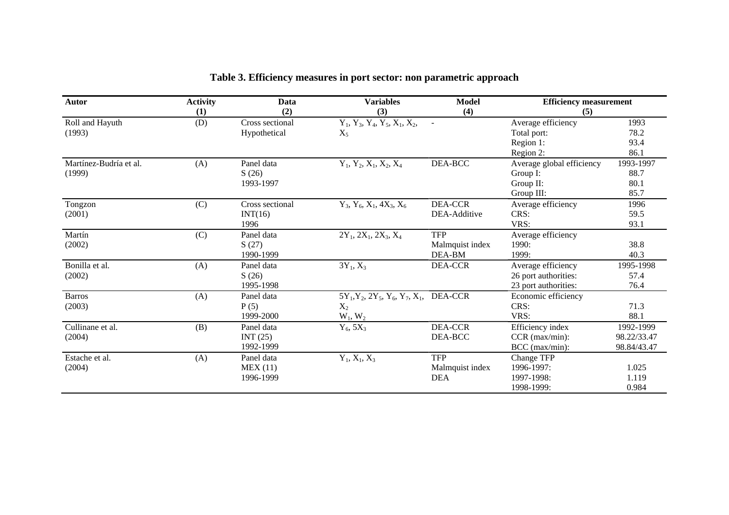| Autor                  | <b>Activity</b> | Data            | <b>Variables</b>                                 | <b>Model</b>    | <b>Efficiency measurement</b><br>(5) |             |
|------------------------|-----------------|-----------------|--------------------------------------------------|-----------------|--------------------------------------|-------------|
|                        | (1)             | (2)             | (3)                                              | (4)             |                                      |             |
| Roll and Hayuth        | (D)             | Cross sectional | $Y_1$ , $Y_3$ , $Y_4$ , $Y_5$ , $X_1$ , $X_2$ ,  | $\sim$          | Average efficiency                   | 1993        |
| (1993)                 |                 | Hypothetical    | $X_5$                                            |                 | Total port:                          | 78.2        |
|                        |                 |                 |                                                  |                 | Region 1:                            | 93.4        |
|                        |                 |                 |                                                  |                 | Region 2:                            | 86.1        |
| Martínez-Budría et al. | (A)             | Panel data      | $Y_1, Y_2, X_1, X_2, X_4$                        | $DEA-BCC$       | Average global efficiency            | 1993-1997   |
| (1999)                 |                 | S(26)           |                                                  |                 | Group I:                             | 88.7        |
|                        |                 | 1993-1997       |                                                  |                 | Group II:                            | 80.1        |
|                        |                 |                 |                                                  |                 | Group III:                           | 85.7        |
| Tongzon                | (C)             | Cross sectional | $Y_3$ , $Y_6$ , $X_1$ , $4X_3$ , $X_6$           | <b>DEA-CCR</b>  | Average efficiency                   | 1996        |
| (2001)                 |                 | INT(16)         |                                                  | DEA-Additive    | CRS:                                 | 59.5        |
|                        |                 | 1996            |                                                  |                 | VRS:                                 | 93.1        |
| Martín                 | (C)             | Panel data      | $2Y_1$ , $2X_1$ , $2X_3$ , $X_4$                 | <b>TFP</b>      | Average efficiency                   |             |
| (2002)                 |                 | S(27)           |                                                  | Malmquist index | 1990:                                | 38.8        |
|                        |                 | 1990-1999       |                                                  | DEA-BM          | 1999:                                | 40.3        |
| Bonilla et al.         | (A)             | Panel data      | $3Y_1, X_3$                                      | <b>DEA-CCR</b>  | Average efficiency                   | 1995-1998   |
| (2002)                 |                 | S(26)           |                                                  |                 | 26 port authorities:                 | 57.4        |
|                        |                 | 1995-1998       |                                                  |                 | 23 port authorities:                 | 76.4        |
| <b>Barros</b>          | (A)             | Panel data      | $5Y_1, Y_2, 2Y_5, Y_6, Y_7, X_1, \text{DEA-CCR}$ |                 | Economic efficiency                  |             |
| (2003)                 |                 | P(5)            | $X_2$                                            |                 | CRS:                                 | 71.3        |
|                        |                 | 1999-2000       | $W_1, W_2$                                       |                 | VRS:                                 | 88.1        |
| Cullinane et al.       | (B)             | Panel data      | $Y_6$ , 5 $X_3$                                  | <b>DEA-CCR</b>  | Efficiency index                     | 1992-1999   |
| (2004)                 |                 | INT $(25)$      |                                                  | DEA-BCC         | CCR (max/min):                       | 98.22/33.47 |
|                        |                 | 1992-1999       |                                                  |                 | $BCC$ (max/min):                     | 98.84/43.47 |
| Estache et al.         | (A)             | Panel data      | $Y_1, X_1, X_3$                                  | <b>TFP</b>      | Change TFP                           |             |
| (2004)                 |                 | MEX(11)         |                                                  | Malmquist index | 1996-1997:                           | 1.025       |
|                        |                 | 1996-1999       |                                                  | <b>DEA</b>      | 1997-1998:                           | 1.119       |
|                        |                 |                 |                                                  |                 | 1998-1999:                           | 0.984       |

# **Table 3. Efficiency measures in port sector: non parametric approach**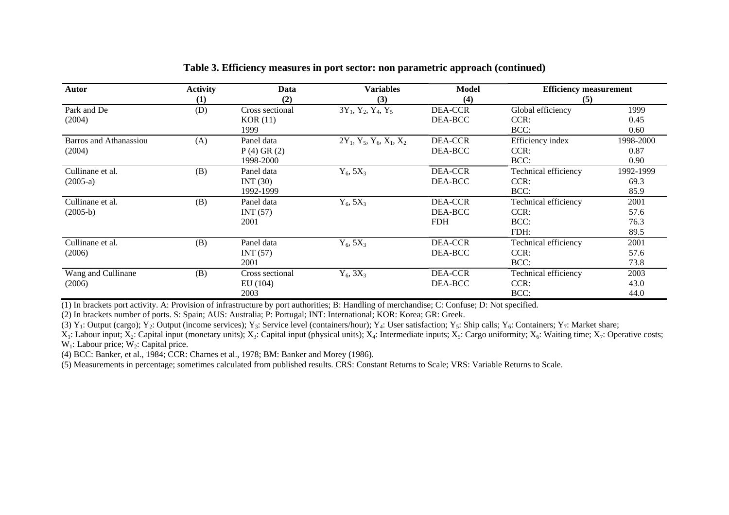| Autor                  | <b>Activity</b><br>(1) | Data<br>(2)                | <b>Variables</b><br>(3)    | Model<br>(4)              | <b>Efficiency measurement</b><br>(5) |              |
|------------------------|------------------------|----------------------------|----------------------------|---------------------------|--------------------------------------|--------------|
| Park and De            | (D)                    | Cross sectional<br>KOR(11) | $3Y_1, Y_2, Y_4, Y_5$      | <b>DEA-CCR</b><br>DEA-BCC | Global efficiency<br>CCR:            | 1999<br>0.45 |
| (2004)                 |                        | 1999                       |                            |                           | BCC:                                 | 0.60         |
| Barros and Athanassiou | (A)                    | Panel data                 | $2Y_1, Y_5, Y_6, X_1, X_2$ | <b>DEA-CCR</b>            | Efficiency index                     | 1998-2000    |
| (2004)                 |                        | $P(4)$ GR $(2)$            |                            | DEA-BCC                   | CCR:                                 | 0.87         |
|                        |                        | 1998-2000                  |                            |                           | BCC:                                 | 0.90         |
| Cullinane et al.       | (B)                    | Panel data                 | $Y_6$ , 5 $X_3$            | DEA-CCR                   | Technical efficiency                 | 1992-1999    |
| $(2005-a)$             |                        | INT(30)                    |                            | DEA-BCC                   | CCR:                                 | 69.3         |
|                        |                        | 1992-1999                  |                            |                           | BCC:                                 | 85.9         |
| Cullinane et al.       | (B)                    | Panel data                 | $Y_6$ , 5 $X_3$            | DEA-CCR                   | Technical efficiency                 | 2001         |
| $(2005-b)$             |                        | INT $(57)$                 |                            | DEA-BCC                   | CCR:                                 | 57.6         |
|                        |                        | 2001                       |                            | <b>FDH</b>                | BCC:                                 | 76.3         |
|                        |                        |                            |                            |                           | FDH:                                 | 89.5         |
| Cullinane et al.       | (B)                    | Panel data                 | $Y_6$ , 5 $X_3$            | DEA-CCR                   | Technical efficiency                 | 2001         |
| (2006)                 |                        | INT (57)                   |                            | DEA-BCC                   | CCR:                                 | 57.6         |
|                        |                        | 2001                       |                            |                           | BCC:                                 | 73.8         |
| Wang and Cullinane     | (B)                    | Cross sectional            | $Y_6$ , $3X_3$             | <b>DEA-CCR</b>            | Technical efficiency                 | 2003         |
| (2006)                 |                        | EU(104)                    |                            | DEA-BCC                   | CCR:                                 | 43.0         |
|                        |                        | 2003                       |                            |                           | BCC:                                 | 44.0         |

#### **Table 3. Efficiency measures in port sector: non parametric approach (continued)**

(1) In brackets port activity. A: Provision of infrastructure by port authorities; B: Handling of merchandise; C: Confuse; D: Not specified.

(2) In brackets number of ports. S: Spain; AUS: Australia; P: Portugal; INT: International; KOR: Korea; GR: Greek.

(3) Y<sub>1</sub>: Output (cargo); Y<sub>2</sub>: Output (income services); Y<sub>3</sub>: Service level (containers/hour); Y<sub>4</sub>: User satisfaction; Y<sub>5</sub>: Ship calls; Y<sub>6</sub>: Containers; Y<sub>7</sub>: Market share;

 $X_1$ : Labour input;  $X_2$ : Capital input (monetary units);  $X_3$ : Capital input (physical units);  $X_4$ : Intermediate inputs;  $X_5$ : Cargo uniformity;  $X_6$ : Waiting time;  $X_7$ : Operative costs;  $W_1$ : Labour price;  $W_2$ : Capital price.

(4) BCC: Banker, et al., 1984; CCR: Charnes et al., 1978; BM: Banker and Morey (1986).

(5) Measurements in percentage; sometimes calculated from published results. CRS: Constant Returns to Scale; VRS: Variable Returns to Scale.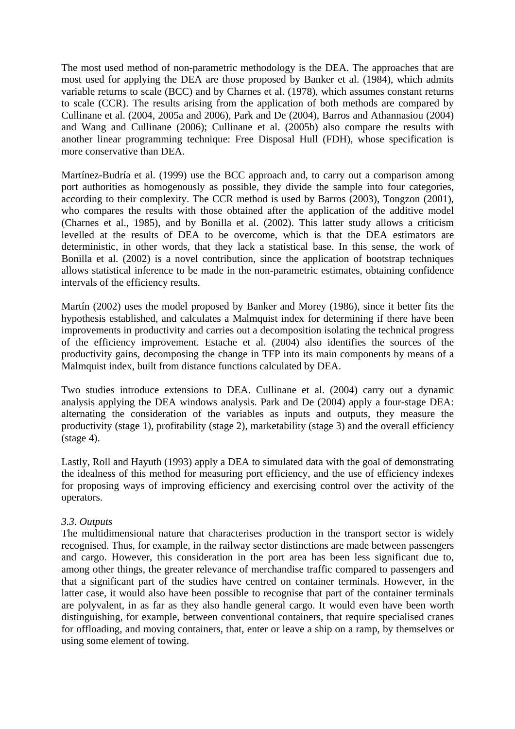The most used method of non-parametric methodology is the DEA. The approaches that are most used for applying the DEA are those proposed by Banker et al. (1984), which admits variable returns to scale (BCC) and by Charnes et al. (1978), which assumes constant returns to scale (CCR). The results arising from the application of both methods are compared by Cullinane et al. (2004, 2005a and 2006), Park and De (2004), Barros and Athannasiou (2004) and Wang and Cullinane (2006); Cullinane et al. (2005b) also compare the results with another linear programming technique: Free Disposal Hull (FDH), whose specification is more conservative than DEA.

Martínez-Budría et al. (1999) use the BCC approach and, to carry out a comparison among port authorities as homogenously as possible, they divide the sample into four categories, according to their complexity. The CCR method is used by Barros (2003), Tongzon (2001), who compares the results with those obtained after the application of the additive model (Charnes et al., 1985), and by Bonilla et al. (2002). This latter study allows a criticism levelled at the results of DEA to be overcome, which is that the DEA estimators are deterministic, in other words, that they lack a statistical base. In this sense, the work of Bonilla et al. (2002) is a novel contribution, since the application of bootstrap techniques allows statistical inference to be made in the non-parametric estimates, obtaining confidence intervals of the efficiency results.

Martín (2002) uses the model proposed by Banker and Morey (1986), since it better fits the hypothesis established, and calculates a Malmquist index for determining if there have been improvements in productivity and carries out a decomposition isolating the technical progress of the efficiency improvement. Estache et al. (2004) also identifies the sources of the productivity gains, decomposing the change in TFP into its main components by means of a Malmquist index, built from distance functions calculated by DEA.

Two studies introduce extensions to DEA. Cullinane et al. (2004) carry out a dynamic analysis applying the DEA windows analysis. Park and De (2004) apply a four-stage DEA: alternating the consideration of the variables as inputs and outputs, they measure the productivity (stage 1), profitability (stage 2), marketability (stage 3) and the overall efficiency  $(\text{stage } 4)$ .

Lastly, Roll and Hayuth (1993) apply a DEA to simulated data with the goal of demonstrating the idealness of this method for measuring port efficiency, and the use of efficiency indexes for proposing ways of improving efficiency and exercising control over the activity of the operators.

#### *3.3. Outputs*

The multidimensional nature that characterises production in the transport sector is widely recognised. Thus, for example, in the railway sector distinctions are made between passengers and cargo. However, this consideration in the port area has been less significant due to, among other things, the greater relevance of merchandise traffic compared to passengers and that a significant part of the studies have centred on container terminals. However, in the latter case, it would also have been possible to recognise that part of the container terminals are polyvalent, in as far as they also handle general cargo. It would even have been worth distinguishing, for example, between conventional containers, that require specialised cranes for offloading, and moving containers, that, enter or leave a ship on a ramp, by themselves or using some element of towing.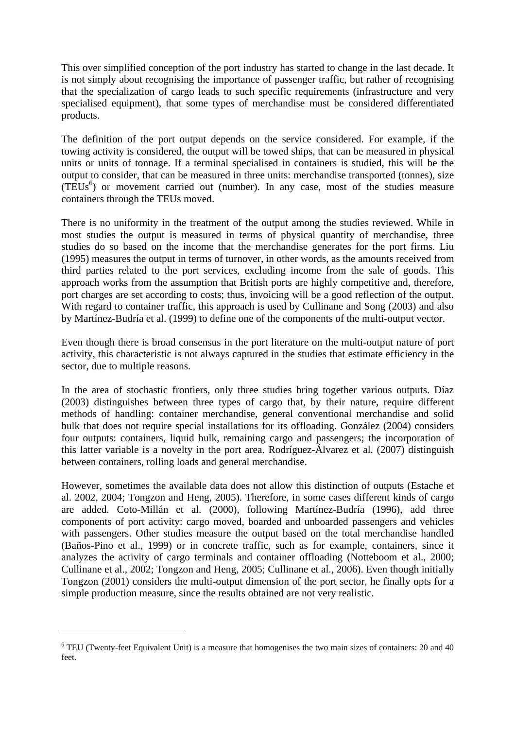This over simplified conception of the port industry has started to change in the last decade. It is not simply about recognising the importance of passenger traffic, but rather of recognising that the specialization of cargo leads to such specific requirements (infrastructure and very specialised equipment), that some types of merchandise must be considered differentiated products.

The definition of the port output depends on the service considered. For example, if the towing activity is considered, the output will be towed ships, that can be measured in physical units or units of tonnage. If a terminal specialised in containers is studied, this will be the output to consider, that can be measured in three units: merchandise transported (tonnes), size  $(TEUs<sup>6</sup>)$  or movement carried out (number). In any case, most of the studies measure containers through the TEUs moved.

There is no uniformity in the treatment of the output among the studies reviewed. While in most studies the output is measured in terms of physical quantity of merchandise, three studies do so based on the income that the merchandise generates for the port firms. Liu (1995) measures the output in terms of turnover, in other words, as the amounts received from third parties related to the port services, excluding income from the sale of goods. This approach works from the assumption that British ports are highly competitive and, therefore, port charges are set according to costs; thus, invoicing will be a good reflection of the output. With regard to container traffic, this approach is used by Cullinane and Song (2003) and also by Martínez-Budría et al. (1999) to define one of the components of the multi-output vector.

Even though there is broad consensus in the port literature on the multi-output nature of port activity, this characteristic is not always captured in the studies that estimate efficiency in the sector, due to multiple reasons.

In the area of stochastic frontiers, only three studies bring together various outputs. Díaz (2003) distinguishes between three types of cargo that, by their nature, require different methods of handling: container merchandise, general conventional merchandise and solid bulk that does not require special installations for its offloading. González (2004) considers four outputs: containers, liquid bulk, remaining cargo and passengers; the incorporation of this latter variable is a novelty in the port area. Rodríguez-Álvarez et al. (2007) distinguish between containers, rolling loads and general merchandise.

However, sometimes the available data does not allow this distinction of outputs (Estache et al. 2002, 2004; Tongzon and Heng, 2005). Therefore, in some cases different kinds of cargo are added. Coto-Millán et al. (2000), following Martínez-Budría (1996), add three components of port activity: cargo moved, boarded and unboarded passengers and vehicles with passengers. Other studies measure the output based on the total merchandise handled (Baños-Pino et al., 1999) or in concrete traffic, such as for example, containers, since it analyzes the activity of cargo terminals and container offloading (Notteboom et al., 2000; Cullinane et al., 2002; Tongzon and Heng, 2005; Cullinane et al., 2006). Even though initially Tongzon (2001) considers the multi-output dimension of the port sector, he finally opts for a simple production measure, since the results obtained are not very realistic.

 $\overline{\phantom{a}}$ 

<sup>&</sup>lt;sup>6</sup> TEU (Twenty-feet Equivalent Unit) is a measure that homogenises the two main sizes of containers: 20 and 40 feet.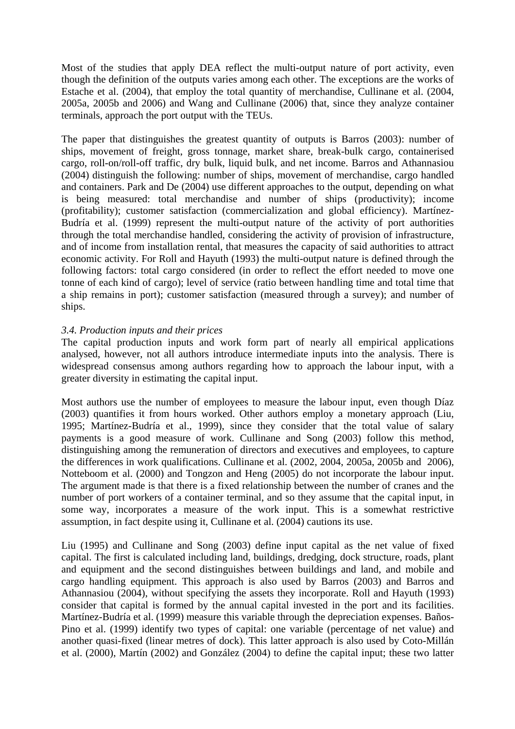Most of the studies that apply DEA reflect the multi-output nature of port activity, even though the definition of the outputs varies among each other. The exceptions are the works of Estache et al. (2004), that employ the total quantity of merchandise, Cullinane et al. (2004, 2005a, 2005b and 2006) and Wang and Cullinane (2006) that, since they analyze container terminals, approach the port output with the TEUs.

The paper that distinguishes the greatest quantity of outputs is Barros (2003): number of ships, movement of freight, gross tonnage, market share, break-bulk cargo, containerised cargo, roll-on/roll-off traffic, dry bulk, liquid bulk, and net income. Barros and Athannasiou (2004) distinguish the following: number of ships, movement of merchandise, cargo handled and containers. Park and De (2004) use different approaches to the output, depending on what is being measured: total merchandise and number of ships (productivity); income (profitability); customer satisfaction (commercialization and global efficiency). Martínez-Budría et al. (1999) represent the multi-output nature of the activity of port authorities through the total merchandise handled, considering the activity of provision of infrastructure, and of income from installation rental, that measures the capacity of said authorities to attract economic activity. For Roll and Hayuth (1993) the multi-output nature is defined through the following factors: total cargo considered (in order to reflect the effort needed to move one tonne of each kind of cargo); level of service (ratio between handling time and total time that a ship remains in port); customer satisfaction (measured through a survey); and number of ships.

# *3.4. Production inputs and their prices*

The capital production inputs and work form part of nearly all empirical applications analysed, however, not all authors introduce intermediate inputs into the analysis. There is widespread consensus among authors regarding how to approach the labour input, with a greater diversity in estimating the capital input.

Most authors use the number of employees to measure the labour input, even though Díaz (2003) quantifies it from hours worked. Other authors employ a monetary approach (Liu, 1995; Martínez-Budría et al., 1999), since they consider that the total value of salary payments is a good measure of work. Cullinane and Song (2003) follow this method, distinguishing among the remuneration of directors and executives and employees, to capture the differences in work qualifications. Cullinane et al. (2002, 2004, 2005a, 2005b and 2006), Notteboom et al. (2000) and Tongzon and Heng (2005) do not incorporate the labour input. The argument made is that there is a fixed relationship between the number of cranes and the number of port workers of a container terminal, and so they assume that the capital input, in some way, incorporates a measure of the work input. This is a somewhat restrictive assumption, in fact despite using it, Cullinane et al. (2004) cautions its use.

Liu (1995) and Cullinane and Song (2003) define input capital as the net value of fixed capital. The first is calculated including land, buildings, dredging, dock structure, roads, plant and equipment and the second distinguishes between buildings and land, and mobile and cargo handling equipment. This approach is also used by Barros (2003) and Barros and Athannasiou (2004), without specifying the assets they incorporate. Roll and Hayuth (1993) consider that capital is formed by the annual capital invested in the port and its facilities. Martínez-Budría et al. (1999) measure this variable through the depreciation expenses. Baños-Pino et al. (1999) identify two types of capital: one variable (percentage of net value) and another quasi-fixed (linear metres of dock). This latter approach is also used by Coto-Millán et al. (2000), Martín (2002) and González (2004) to define the capital input; these two latter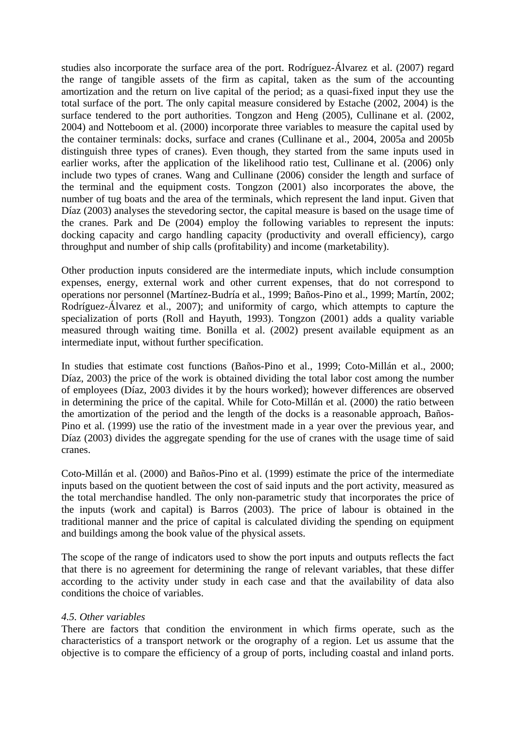studies also incorporate the surface area of the port. Rodríguez-Álvarez et al. (2007) regard the range of tangible assets of the firm as capital, taken as the sum of the accounting amortization and the return on live capital of the period; as a quasi-fixed input they use the total surface of the port. The only capital measure considered by Estache (2002, 2004) is the surface tendered to the port authorities. Tongzon and Heng (2005), Cullinane et al. (2002, 2004) and Notteboom et al. (2000) incorporate three variables to measure the capital used by the container terminals: docks, surface and cranes (Cullinane et al., 2004, 2005a and 2005b distinguish three types of cranes). Even though, they started from the same inputs used in earlier works, after the application of the likelihood ratio test, Cullinane et al. (2006) only include two types of cranes. Wang and Cullinane (2006) consider the length and surface of the terminal and the equipment costs. Tongzon (2001) also incorporates the above, the number of tug boats and the area of the terminals, which represent the land input. Given that Díaz (2003) analyses the stevedoring sector, the capital measure is based on the usage time of the cranes. Park and De (2004) employ the following variables to represent the inputs: docking capacity and cargo handling capacity (productivity and overall efficiency), cargo throughput and number of ship calls (profitability) and income (marketability).

Other production inputs considered are the intermediate inputs, which include consumption expenses, energy, external work and other current expenses, that do not correspond to operations nor personnel (Martínez-Budría et al., 1999; Baños-Pino et al., 1999; Martín, 2002; Rodríguez-Álvarez et al., 2007); and uniformity of cargo, which attempts to capture the specialization of ports (Roll and Hayuth, 1993). Tongzon (2001) adds a quality variable measured through waiting time. Bonilla et al. (2002) present available equipment as an intermediate input, without further specification.

In studies that estimate cost functions (Baños-Pino et al., 1999; Coto-Millán et al., 2000; Díaz, 2003) the price of the work is obtained dividing the total labor cost among the number of employees (Díaz, 2003 divides it by the hours worked); however differences are observed in determining the price of the capital. While for Coto-Millán et al. (2000) the ratio between the amortization of the period and the length of the docks is a reasonable approach, Baños-Pino et al. (1999) use the ratio of the investment made in a year over the previous year, and Díaz (2003) divides the aggregate spending for the use of cranes with the usage time of said cranes.

Coto-Millán et al. (2000) and Baños-Pino et al. (1999) estimate the price of the intermediate inputs based on the quotient between the cost of said inputs and the port activity, measured as the total merchandise handled. The only non-parametric study that incorporates the price of the inputs (work and capital) is Barros (2003). The price of labour is obtained in the traditional manner and the price of capital is calculated dividing the spending on equipment and buildings among the book value of the physical assets.

The scope of the range of indicators used to show the port inputs and outputs reflects the fact that there is no agreement for determining the range of relevant variables, that these differ according to the activity under study in each case and that the availability of data also conditions the choice of variables.

#### *4.5. Other variables*

There are factors that condition the environment in which firms operate, such as the characteristics of a transport network or the orography of a region. Let us assume that the objective is to compare the efficiency of a group of ports, including coastal and inland ports.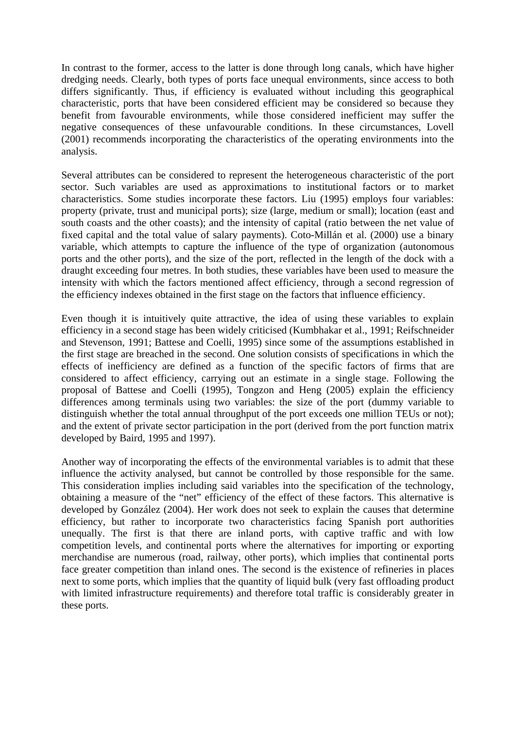In contrast to the former, access to the latter is done through long canals, which have higher dredging needs. Clearly, both types of ports face unequal environments, since access to both differs significantly. Thus, if efficiency is evaluated without including this geographical characteristic, ports that have been considered efficient may be considered so because they benefit from favourable environments, while those considered inefficient may suffer the negative consequences of these unfavourable conditions. In these circumstances, Lovell (2001) recommends incorporating the characteristics of the operating environments into the analysis.

Several attributes can be considered to represent the heterogeneous characteristic of the port sector. Such variables are used as approximations to institutional factors or to market characteristics. Some studies incorporate these factors. Liu (1995) employs four variables: property (private, trust and municipal ports); size (large, medium or small); location (east and south coasts and the other coasts); and the intensity of capital (ratio between the net value of fixed capital and the total value of salary payments). Coto-Millán et al. (2000) use a binary variable, which attempts to capture the influence of the type of organization (autonomous ports and the other ports), and the size of the port, reflected in the length of the dock with a draught exceeding four metres. In both studies, these variables have been used to measure the intensity with which the factors mentioned affect efficiency, through a second regression of the efficiency indexes obtained in the first stage on the factors that influence efficiency.

Even though it is intuitively quite attractive, the idea of using these variables to explain efficiency in a second stage has been widely criticised (Kumbhakar et al., 1991; Reifschneider and Stevenson, 1991; Battese and Coelli, 1995) since some of the assumptions established in the first stage are breached in the second. One solution consists of specifications in which the effects of inefficiency are defined as a function of the specific factors of firms that are considered to affect efficiency, carrying out an estimate in a single stage. Following the proposal of Battese and Coelli (1995), Tongzon and Heng (2005) explain the efficiency differences among terminals using two variables: the size of the port (dummy variable to distinguish whether the total annual throughput of the port exceeds one million TEUs or not); and the extent of private sector participation in the port (derived from the port function matrix developed by Baird, 1995 and 1997).

Another way of incorporating the effects of the environmental variables is to admit that these influence the activity analysed, but cannot be controlled by those responsible for the same. This consideration implies including said variables into the specification of the technology, obtaining a measure of the "net" efficiency of the effect of these factors. This alternative is developed by González (2004). Her work does not seek to explain the causes that determine efficiency, but rather to incorporate two characteristics facing Spanish port authorities unequally. The first is that there are inland ports, with captive traffic and with low competition levels, and continental ports where the alternatives for importing or exporting merchandise are numerous (road, railway, other ports), which implies that continental ports face greater competition than inland ones. The second is the existence of refineries in places next to some ports, which implies that the quantity of liquid bulk (very fast offloading product with limited infrastructure requirements) and therefore total traffic is considerably greater in these ports.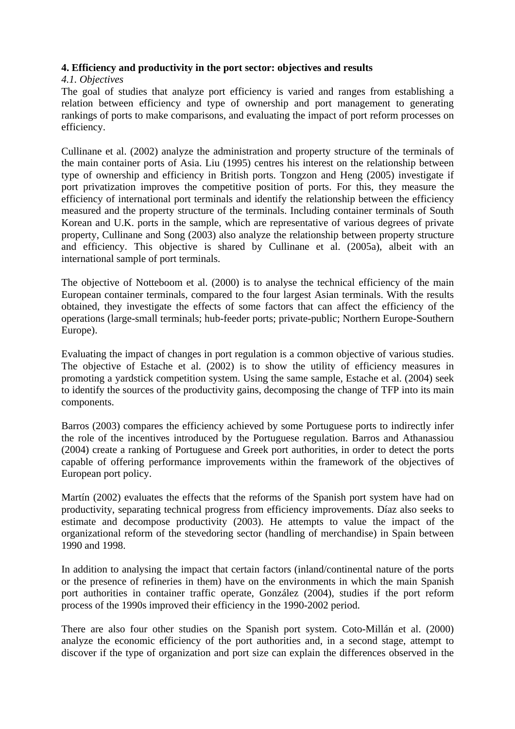# **4. Efficiency and productivity in the port sector: objectives and results**

### *4.1. Objectives*

The goal of studies that analyze port efficiency is varied and ranges from establishing a relation between efficiency and type of ownership and port management to generating rankings of ports to make comparisons, and evaluating the impact of port reform processes on efficiency.

Cullinane et al. (2002) analyze the administration and property structure of the terminals of the main container ports of Asia. Liu (1995) centres his interest on the relationship between type of ownership and efficiency in British ports. Tongzon and Heng (2005) investigate if port privatization improves the competitive position of ports. For this, they measure the efficiency of international port terminals and identify the relationship between the efficiency measured and the property structure of the terminals. Including container terminals of South Korean and U.K. ports in the sample, which are representative of various degrees of private property, Cullinane and Song (2003) also analyze the relationship between property structure and efficiency. This objective is shared by Cullinane et al. (2005a), albeit with an international sample of port terminals.

The objective of Notteboom et al. (2000) is to analyse the technical efficiency of the main European container terminals, compared to the four largest Asian terminals. With the results obtained, they investigate the effects of some factors that can affect the efficiency of the operations (large-small terminals; hub-feeder ports; private-public; Northern Europe-Southern Europe).

Evaluating the impact of changes in port regulation is a common objective of various studies. The objective of Estache et al. (2002) is to show the utility of efficiency measures in promoting a yardstick competition system. Using the same sample, Estache et al. (2004) seek to identify the sources of the productivity gains, decomposing the change of TFP into its main components.

Barros (2003) compares the efficiency achieved by some Portuguese ports to indirectly infer the role of the incentives introduced by the Portuguese regulation. Barros and Athanassiou (2004) create a ranking of Portuguese and Greek port authorities, in order to detect the ports capable of offering performance improvements within the framework of the objectives of European port policy.

Martín (2002) evaluates the effects that the reforms of the Spanish port system have had on productivity, separating technical progress from efficiency improvements. Díaz also seeks to estimate and decompose productivity (2003). He attempts to value the impact of the organizational reform of the stevedoring sector (handling of merchandise) in Spain between 1990 and 1998.

In addition to analysing the impact that certain factors (inland/continental nature of the ports or the presence of refineries in them) have on the environments in which the main Spanish port authorities in container traffic operate, González (2004), studies if the port reform process of the 1990s improved their efficiency in the 1990-2002 period.

There are also four other studies on the Spanish port system. Coto-Millán et al. (2000) analyze the economic efficiency of the port authorities and, in a second stage, attempt to discover if the type of organization and port size can explain the differences observed in the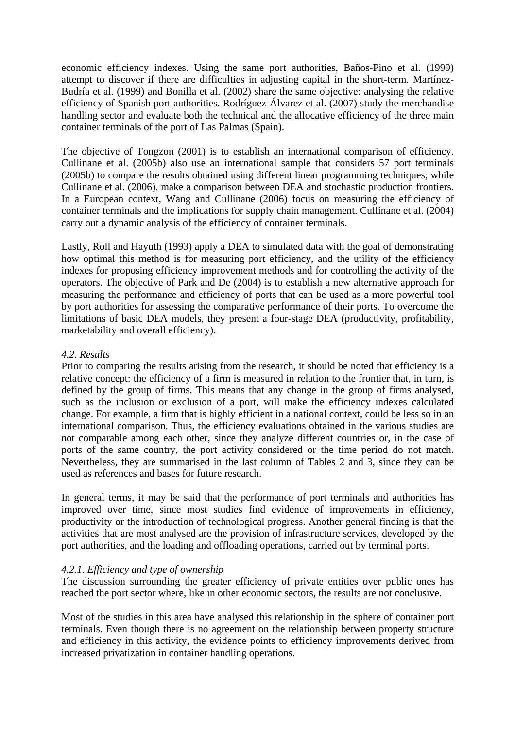economic efficiency indexes. Using the same port authorities, Baños-Pino et al. (1999) attempt to discover if there are difficulties in adjusting capital in the short-term. Martínez-Budría et al. (1999) and Bonilla et al. (2002) share the same objective: analysing the relative efficiency of Spanish port authorities. Rodríguez-Álvarez et al. (2007) study the merchandise handling sector and evaluate both the technical and the allocative efficiency of the three main container terminals of the port of Las Palmas (Spain).

The objective of Tongzon (2001) is to establish an international comparison of efficiency. Cullinane et al. (2005b) also use an international sample that considers 57 port terminals (2005b) to compare the results obtained using different linear programming techniques; while Cullinane et al. (2006), make a comparison between DEA and stochastic production frontiers. In a European context, Wang and Cullinane (2006) focus on measuring the efficiency of container terminals and the implications for supply chain management. Cullinane et al. (2004) carry out a dynamic analysis of the efficiency of container terminals.

Lastly, Roll and Hayuth (1993) apply a DEA to simulated data with the goal of demonstrating how optimal this method is for measuring port efficiency, and the utility of the efficiency indexes for proposing efficiency improvement methods and for controlling the activity of the operators. The objective of Park and De (2004) is to establish a new alternative approach for measuring the performance and efficiency of ports that can be used as a more powerful tool by port authorities for assessing the comparative performance of their ports. To overcome the limitations of basic DEA models, they present a four-stage DEA (productivity, profitability, marketability and overall efficiency).

# *4.2. Results*

Prior to comparing the results arising from the research, it should be noted that efficiency is a relative concept: the efficiency of a firm is measured in relation to the frontier that, in turn, is defined by the group of firms. This means that any change in the group of firms analysed, such as the inclusion or exclusion of a port, will make the efficiency indexes calculated change. For example, a firm that is highly efficient in a national context, could be less so in an international comparison. Thus, the efficiency evaluations obtained in the various studies are not comparable among each other, since they analyze different countries or, in the case of ports of the same country, the port activity considered or the time period do not match. Nevertheless, they are summarised in the last column of Tables 2 and 3, since they can be used as references and bases for future research.

In general terms, it may be said that the performance of port terminals and authorities has improved over time, since most studies find evidence of improvements in efficiency, productivity or the introduction of technological progress. Another general finding is that the activities that are most analysed are the provision of infrastructure services, developed by the port authorities, and the loading and offloading operations, carried out by terminal ports.

#### *4.2.1. Efficiency and type of ownership*

The discussion surrounding the greater efficiency of private entities over public ones has reached the port sector where, like in other economic sectors, the results are not conclusive.

Most of the studies in this area have analysed this relationship in the sphere of container port terminals. Even though there is no agreement on the relationship between property structure and efficiency in this activity, the evidence points to efficiency improvements derived from increased privatization in container handling operations.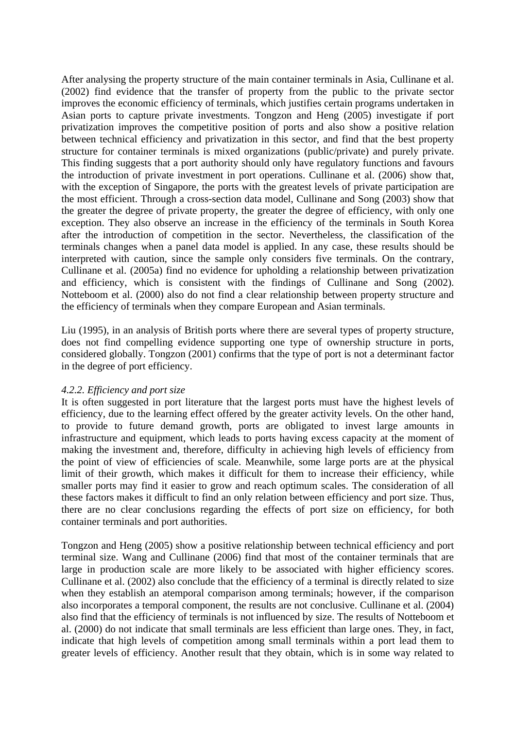After analysing the property structure of the main container terminals in Asia, Cullinane et al. (2002) find evidence that the transfer of property from the public to the private sector improves the economic efficiency of terminals, which justifies certain programs undertaken in Asian ports to capture private investments. Tongzon and Heng (2005) investigate if port privatization improves the competitive position of ports and also show a positive relation between technical efficiency and privatization in this sector, and find that the best property structure for container terminals is mixed organizations (public/private) and purely private. This finding suggests that a port authority should only have regulatory functions and favours the introduction of private investment in port operations. Cullinane et al. (2006) show that, with the exception of Singapore, the ports with the greatest levels of private participation are the most efficient. Through a cross-section data model, Cullinane and Song (2003) show that the greater the degree of private property, the greater the degree of efficiency, with only one exception. They also observe an increase in the efficiency of the terminals in South Korea after the introduction of competition in the sector. Nevertheless, the classification of the terminals changes when a panel data model is applied. In any case, these results should be interpreted with caution, since the sample only considers five terminals. On the contrary, Cullinane et al. (2005a) find no evidence for upholding a relationship between privatization and efficiency, which is consistent with the findings of Cullinane and Song (2002). Notteboom et al. (2000) also do not find a clear relationship between property structure and the efficiency of terminals when they compare European and Asian terminals.

Liu (1995), in an analysis of British ports where there are several types of property structure, does not find compelling evidence supporting one type of ownership structure in ports, considered globally. Tongzon (2001) confirms that the type of port is not a determinant factor in the degree of port efficiency.

#### *4.2.2. Efficiency and port size*

It is often suggested in port literature that the largest ports must have the highest levels of efficiency, due to the learning effect offered by the greater activity levels. On the other hand, to provide to future demand growth, ports are obligated to invest large amounts in infrastructure and equipment, which leads to ports having excess capacity at the moment of making the investment and, therefore, difficulty in achieving high levels of efficiency from the point of view of efficiencies of scale. Meanwhile, some large ports are at the physical limit of their growth, which makes it difficult for them to increase their efficiency, while smaller ports may find it easier to grow and reach optimum scales. The consideration of all these factors makes it difficult to find an only relation between efficiency and port size. Thus, there are no clear conclusions regarding the effects of port size on efficiency, for both container terminals and port authorities.

Tongzon and Heng (2005) show a positive relationship between technical efficiency and port terminal size. Wang and Cullinane (2006) find that most of the container terminals that are large in production scale are more likely to be associated with higher efficiency scores. Cullinane et al. (2002) also conclude that the efficiency of a terminal is directly related to size when they establish an atemporal comparison among terminals; however, if the comparison also incorporates a temporal component, the results are not conclusive. Cullinane et al. (2004) also find that the efficiency of terminals is not influenced by size. The results of Notteboom et al. (2000) do not indicate that small terminals are less efficient than large ones. They, in fact, indicate that high levels of competition among small terminals within a port lead them to greater levels of efficiency. Another result that they obtain, which is in some way related to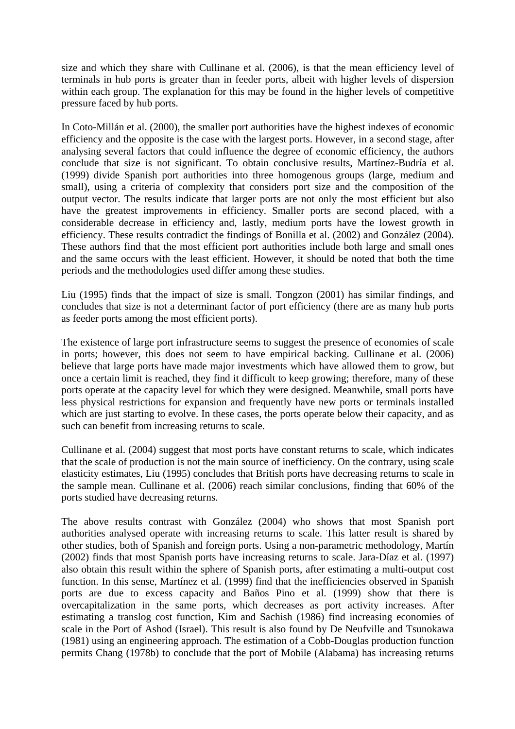size and which they share with Cullinane et al. (2006), is that the mean efficiency level of terminals in hub ports is greater than in feeder ports, albeit with higher levels of dispersion within each group. The explanation for this may be found in the higher levels of competitive pressure faced by hub ports.

In Coto-Millán et al. (2000), the smaller port authorities have the highest indexes of economic efficiency and the opposite is the case with the largest ports. However, in a second stage, after analysing several factors that could influence the degree of economic efficiency, the authors conclude that size is not significant. To obtain conclusive results, Martínez-Budría et al. (1999) divide Spanish port authorities into three homogenous groups (large, medium and small), using a criteria of complexity that considers port size and the composition of the output vector. The results indicate that larger ports are not only the most efficient but also have the greatest improvements in efficiency. Smaller ports are second placed, with a considerable decrease in efficiency and, lastly, medium ports have the lowest growth in efficiency. These results contradict the findings of Bonilla et al. (2002) and González (2004). These authors find that the most efficient port authorities include both large and small ones and the same occurs with the least efficient. However, it should be noted that both the time periods and the methodologies used differ among these studies.

Liu (1995) finds that the impact of size is small. Tongzon (2001) has similar findings, and concludes that size is not a determinant factor of port efficiency (there are as many hub ports as feeder ports among the most efficient ports).

The existence of large port infrastructure seems to suggest the presence of economies of scale in ports; however, this does not seem to have empirical backing. Cullinane et al. (2006) believe that large ports have made major investments which have allowed them to grow, but once a certain limit is reached, they find it difficult to keep growing; therefore, many of these ports operate at the capacity level for which they were designed. Meanwhile, small ports have less physical restrictions for expansion and frequently have new ports or terminals installed which are just starting to evolve. In these cases, the ports operate below their capacity, and as such can benefit from increasing returns to scale.

Cullinane et al. (2004) suggest that most ports have constant returns to scale, which indicates that the scale of production is not the main source of inefficiency. On the contrary, using scale elasticity estimates, Liu (1995) concludes that British ports have decreasing returns to scale in the sample mean. Cullinane et al. (2006) reach similar conclusions, finding that 60% of the ports studied have decreasing returns.

The above results contrast with González (2004) who shows that most Spanish port authorities analysed operate with increasing returns to scale. This latter result is shared by other studies, both of Spanish and foreign ports. Using a non-parametric methodology, Martín (2002) finds that most Spanish ports have increasing returns to scale. Jara-Díaz et al. (1997) also obtain this result within the sphere of Spanish ports, after estimating a multi-output cost function. In this sense, Martínez et al. (1999) find that the inefficiencies observed in Spanish ports are due to excess capacity and Baños Pino et al. (1999) show that there is overcapitalization in the same ports, which decreases as port activity increases. After estimating a translog cost function, Kim and Sachish (1986) find increasing economies of scale in the Port of Ashod (Israel). This result is also found by De Neufville and Tsunokawa (1981) using an engineering approach. The estimation of a Cobb-Douglas production function permits Chang (1978b) to conclude that the port of Mobile (Alabama) has increasing returns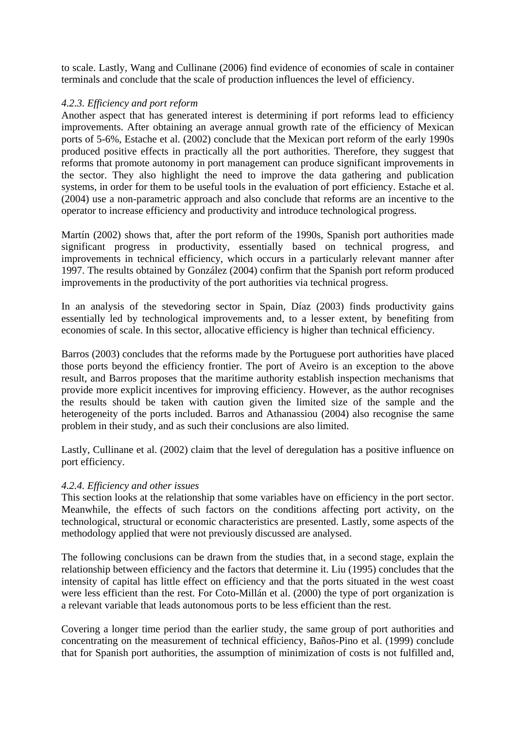to scale. Lastly, Wang and Cullinane (2006) find evidence of economies of scale in container terminals and conclude that the scale of production influences the level of efficiency.

# *4.2.3. Efficiency and port reform*

Another aspect that has generated interest is determining if port reforms lead to efficiency improvements. After obtaining an average annual growth rate of the efficiency of Mexican ports of 5-6%, Estache et al. (2002) conclude that the Mexican port reform of the early 1990s produced positive effects in practically all the port authorities. Therefore, they suggest that reforms that promote autonomy in port management can produce significant improvements in the sector. They also highlight the need to improve the data gathering and publication systems, in order for them to be useful tools in the evaluation of port efficiency. Estache et al. (2004) use a non-parametric approach and also conclude that reforms are an incentive to the operator to increase efficiency and productivity and introduce technological progress.

Martín (2002) shows that, after the port reform of the 1990s, Spanish port authorities made significant progress in productivity, essentially based on technical progress, and improvements in technical efficiency, which occurs in a particularly relevant manner after 1997. The results obtained by González (2004) confirm that the Spanish port reform produced improvements in the productivity of the port authorities via technical progress.

In an analysis of the stevedoring sector in Spain, Díaz (2003) finds productivity gains essentially led by technological improvements and, to a lesser extent, by benefiting from economies of scale. In this sector, allocative efficiency is higher than technical efficiency.

Barros (2003) concludes that the reforms made by the Portuguese port authorities have placed those ports beyond the efficiency frontier. The port of Aveiro is an exception to the above result, and Barros proposes that the maritime authority establish inspection mechanisms that provide more explicit incentives for improving efficiency. However, as the author recognises the results should be taken with caution given the limited size of the sample and the heterogeneity of the ports included. Barros and Athanassiou (2004) also recognise the same problem in their study, and as such their conclusions are also limited.

Lastly, Cullinane et al. (2002) claim that the level of deregulation has a positive influence on port efficiency.

# *4.2.4. Efficiency and other issues*

This section looks at the relationship that some variables have on efficiency in the port sector. Meanwhile, the effects of such factors on the conditions affecting port activity, on the technological, structural or economic characteristics are presented. Lastly, some aspects of the methodology applied that were not previously discussed are analysed.

The following conclusions can be drawn from the studies that, in a second stage, explain the relationship between efficiency and the factors that determine it. Liu (1995) concludes that the intensity of capital has little effect on efficiency and that the ports situated in the west coast were less efficient than the rest. For Coto-Millán et al. (2000) the type of port organization is a relevant variable that leads autonomous ports to be less efficient than the rest.

Covering a longer time period than the earlier study, the same group of port authorities and concentrating on the measurement of technical efficiency, Baños-Pino et al. (1999) conclude that for Spanish port authorities, the assumption of minimization of costs is not fulfilled and,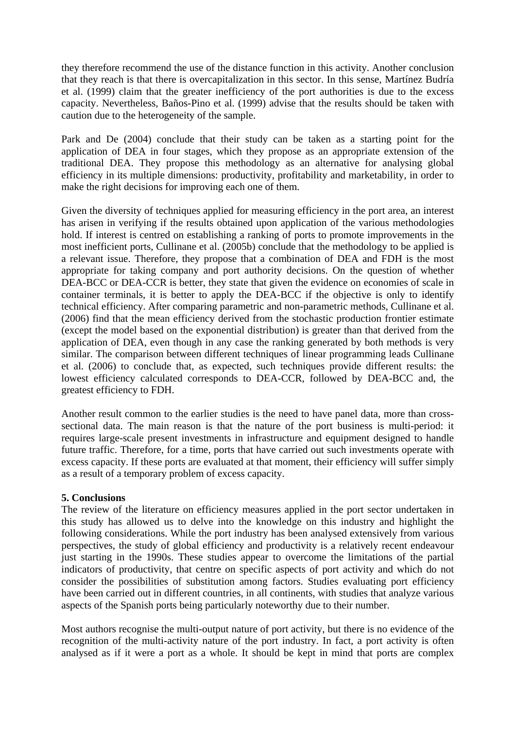they therefore recommend the use of the distance function in this activity. Another conclusion that they reach is that there is overcapitalization in this sector. In this sense, Martínez Budría et al. (1999) claim that the greater inefficiency of the port authorities is due to the excess capacity. Nevertheless, Baños-Pino et al. (1999) advise that the results should be taken with caution due to the heterogeneity of the sample.

Park and De (2004) conclude that their study can be taken as a starting point for the application of DEA in four stages, which they propose as an appropriate extension of the traditional DEA. They propose this methodology as an alternative for analysing global efficiency in its multiple dimensions: productivity, profitability and marketability, in order to make the right decisions for improving each one of them.

Given the diversity of techniques applied for measuring efficiency in the port area, an interest has arisen in verifying if the results obtained upon application of the various methodologies hold. If interest is centred on establishing a ranking of ports to promote improvements in the most inefficient ports, Cullinane et al. (2005b) conclude that the methodology to be applied is a relevant issue. Therefore, they propose that a combination of DEA and FDH is the most appropriate for taking company and port authority decisions. On the question of whether DEA-BCC or DEA-CCR is better, they state that given the evidence on economies of scale in container terminals, it is better to apply the DEA-BCC if the objective is only to identify technical efficiency. After comparing parametric and non-parametric methods, Cullinane et al. (2006) find that the mean efficiency derived from the stochastic production frontier estimate (except the model based on the exponential distribution) is greater than that derived from the application of DEA, even though in any case the ranking generated by both methods is very similar. The comparison between different techniques of linear programming leads Cullinane et al. (2006) to conclude that, as expected, such techniques provide different results: the lowest efficiency calculated corresponds to DEA-CCR, followed by DEA-BCC and, the greatest efficiency to FDH.

Another result common to the earlier studies is the need to have panel data, more than crosssectional data. The main reason is that the nature of the port business is multi-period: it requires large-scale present investments in infrastructure and equipment designed to handle future traffic. Therefore, for a time, ports that have carried out such investments operate with excess capacity. If these ports are evaluated at that moment, their efficiency will suffer simply as a result of a temporary problem of excess capacity.

#### **5. Conclusions**

The review of the literature on efficiency measures applied in the port sector undertaken in this study has allowed us to delve into the knowledge on this industry and highlight the following considerations. While the port industry has been analysed extensively from various perspectives, the study of global efficiency and productivity is a relatively recent endeavour just starting in the 1990s. These studies appear to overcome the limitations of the partial indicators of productivity, that centre on specific aspects of port activity and which do not consider the possibilities of substitution among factors. Studies evaluating port efficiency have been carried out in different countries, in all continents, with studies that analyze various aspects of the Spanish ports being particularly noteworthy due to their number.

Most authors recognise the multi-output nature of port activity, but there is no evidence of the recognition of the multi-activity nature of the port industry. In fact, a port activity is often analysed as if it were a port as a whole. It should be kept in mind that ports are complex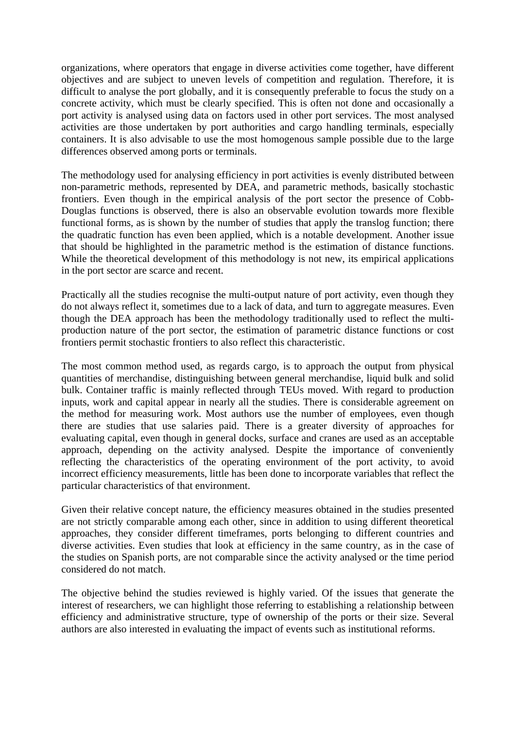organizations, where operators that engage in diverse activities come together, have different objectives and are subject to uneven levels of competition and regulation. Therefore, it is difficult to analyse the port globally, and it is consequently preferable to focus the study on a concrete activity, which must be clearly specified. This is often not done and occasionally a port activity is analysed using data on factors used in other port services. The most analysed activities are those undertaken by port authorities and cargo handling terminals, especially containers. It is also advisable to use the most homogenous sample possible due to the large differences observed among ports or terminals.

The methodology used for analysing efficiency in port activities is evenly distributed between non-parametric methods, represented by DEA, and parametric methods, basically stochastic frontiers. Even though in the empirical analysis of the port sector the presence of Cobb-Douglas functions is observed, there is also an observable evolution towards more flexible functional forms, as is shown by the number of studies that apply the translog function; there the quadratic function has even been applied, which is a notable development. Another issue that should be highlighted in the parametric method is the estimation of distance functions. While the theoretical development of this methodology is not new, its empirical applications in the port sector are scarce and recent.

Practically all the studies recognise the multi-output nature of port activity, even though they do not always reflect it, sometimes due to a lack of data, and turn to aggregate measures. Even though the DEA approach has been the methodology traditionally used to reflect the multiproduction nature of the port sector, the estimation of parametric distance functions or cost frontiers permit stochastic frontiers to also reflect this characteristic.

The most common method used, as regards cargo, is to approach the output from physical quantities of merchandise, distinguishing between general merchandise, liquid bulk and solid bulk. Container traffic is mainly reflected through TEUs moved. With regard to production inputs, work and capital appear in nearly all the studies. There is considerable agreement on the method for measuring work. Most authors use the number of employees, even though there are studies that use salaries paid. There is a greater diversity of approaches for evaluating capital, even though in general docks, surface and cranes are used as an acceptable approach, depending on the activity analysed. Despite the importance of conveniently reflecting the characteristics of the operating environment of the port activity, to avoid incorrect efficiency measurements, little has been done to incorporate variables that reflect the particular characteristics of that environment.

Given their relative concept nature, the efficiency measures obtained in the studies presented are not strictly comparable among each other, since in addition to using different theoretical approaches, they consider different timeframes, ports belonging to different countries and diverse activities. Even studies that look at efficiency in the same country, as in the case of the studies on Spanish ports, are not comparable since the activity analysed or the time period considered do not match.

The objective behind the studies reviewed is highly varied. Of the issues that generate the interest of researchers, we can highlight those referring to establishing a relationship between efficiency and administrative structure, type of ownership of the ports or their size. Several authors are also interested in evaluating the impact of events such as institutional reforms.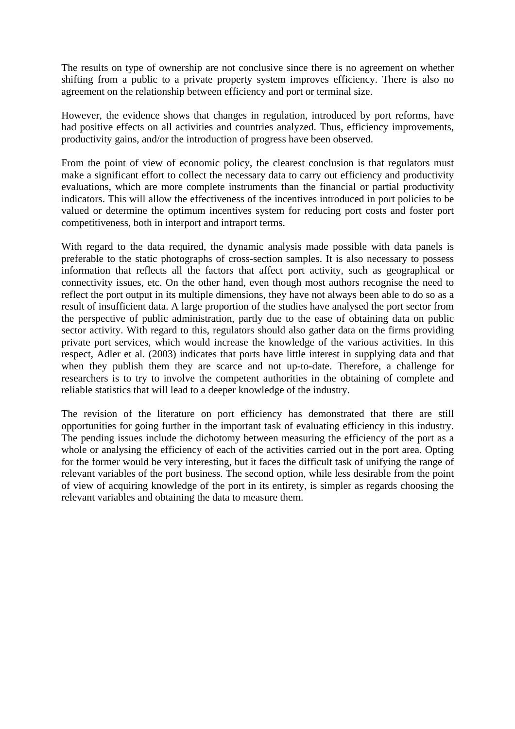The results on type of ownership are not conclusive since there is no agreement on whether shifting from a public to a private property system improves efficiency. There is also no agreement on the relationship between efficiency and port or terminal size.

However, the evidence shows that changes in regulation, introduced by port reforms, have had positive effects on all activities and countries analyzed. Thus, efficiency improvements, productivity gains, and/or the introduction of progress have been observed.

From the point of view of economic policy, the clearest conclusion is that regulators must make a significant effort to collect the necessary data to carry out efficiency and productivity evaluations, which are more complete instruments than the financial or partial productivity indicators. This will allow the effectiveness of the incentives introduced in port policies to be valued or determine the optimum incentives system for reducing port costs and foster port competitiveness, both in interport and intraport terms.

With regard to the data required, the dynamic analysis made possible with data panels is preferable to the static photographs of cross-section samples. It is also necessary to possess information that reflects all the factors that affect port activity, such as geographical or connectivity issues, etc. On the other hand, even though most authors recognise the need to reflect the port output in its multiple dimensions, they have not always been able to do so as a result of insufficient data. A large proportion of the studies have analysed the port sector from the perspective of public administration, partly due to the ease of obtaining data on public sector activity. With regard to this, regulators should also gather data on the firms providing private port services, which would increase the knowledge of the various activities. In this respect, Adler et al. (2003) indicates that ports have little interest in supplying data and that when they publish them they are scarce and not up-to-date. Therefore, a challenge for researchers is to try to involve the competent authorities in the obtaining of complete and reliable statistics that will lead to a deeper knowledge of the industry.

The revision of the literature on port efficiency has demonstrated that there are still opportunities for going further in the important task of evaluating efficiency in this industry. The pending issues include the dichotomy between measuring the efficiency of the port as a whole or analysing the efficiency of each of the activities carried out in the port area. Opting for the former would be very interesting, but it faces the difficult task of unifying the range of relevant variables of the port business. The second option, while less desirable from the point of view of acquiring knowledge of the port in its entirety, is simpler as regards choosing the relevant variables and obtaining the data to measure them.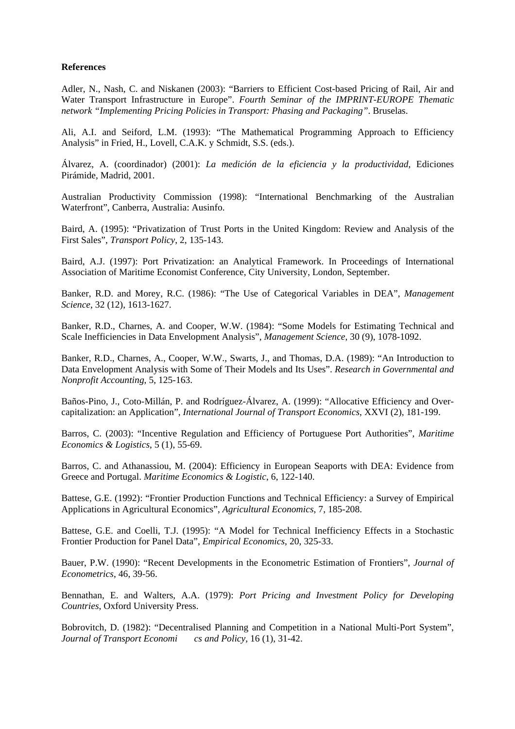#### **References**

Adler, N., Nash, C. and Niskanen (2003): "Barriers to Efficient Cost-based Pricing of Rail, Air and Water Transport Infrastructure in Europe". *Fourth Seminar of the IMPRINT-EUROPE Thematic network "Implementing Pricing Policies in Transport: Phasing and Packaging"*. Bruselas.

Ali, A.I. and Seiford, L.M. (1993): "The Mathematical Programming Approach to Efficiency Analysis" in Fried, H., Lovell, C.A.K. y Schmidt, S.S. (eds.).

Álvarez, A. (coordinador) (2001): *La medición de la eficiencia y la productividad*, Ediciones Pirámide, Madrid, 2001.

Australian Productivity Commission (1998): "International Benchmarking of the Australian Waterfront", Canberra, Australia: Ausinfo.

Baird, A. (1995): "Privatization of Trust Ports in the United Kingdom: Review and Analysis of the First Sales", *Transport Policy*, 2, 135-143.

Baird, A.J. (1997): Port Privatization: an Analytical Framework. In Proceedings of International Association of Maritime Economist Conference, City University, London, September.

Banker, R.D. and Morey, R.C. (1986): "The Use of Categorical Variables in DEA", *Management Science*, 32 (12), 1613-1627.

Banker, R.D., Charnes, A. and Cooper, W.W. (1984): "Some Models for Estimating Technical and Scale Inefficiencies in Data Envelopment Analysis", *Management Science*, 30 (9), 1078-1092.

Banker, R.D., Charnes, A., Cooper, W.W., Swarts, J., and Thomas, D.A. (1989): "An Introduction to Data Envelopment Analysis with Some of Their Models and Its Uses". *Research in Governmental and Nonprofit Accounting*, 5, 125-163.

Baños-Pino, J., Coto-Millán, P. and Rodríguez-Álvarez, A. (1999): "Allocative Efficiency and Overcapitalization: an Application", *International Journal of Transport Economics*, XXVI (2), 181-199.

Barros, C. (2003): "Incentive Regulation and Efficiency of Portuguese Port Authorities", *Maritime Economics & Logistics*, 5 (1), 55-69.

Barros, C. and Athanassiou, M. (2004): Efficiency in European Seaports with DEA: Evidence from Greece and Portugal. *Maritime Economics & Logistic*, 6, 122-140.

Battese, G.E. (1992): "Frontier Production Functions and Technical Efficiency: a Survey of Empirical Applications in Agricultural Economics", *Agricultural Economics*, 7, 185-208.

Battese, G.E. and Coelli, T.J. (1995): "A Model for Technical Inefficiency Effects in a Stochastic Frontier Production for Panel Data", *Empirical Economics*, 20, 325-33.

Bauer, P.W. (1990): "Recent Developments in the Econometric Estimation of Frontiers"*, Journal of Econometrics*, 46, 39-56.

Bennathan, E. and Walters, A.A. (1979): *Port Pricing and Investment Policy for Developing Countries*, Oxford University Press.

Bobrovitch, D. (1982): "Decentralised Planning and Competition in a National Multi-Port System", *Journal of Transport Economi cs and Policy*, 16 (1), 31-42.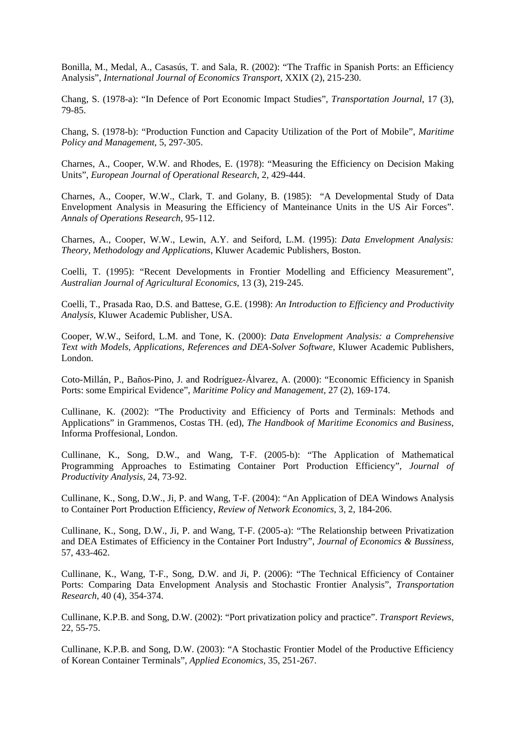Bonilla, M., Medal, A., Casasús, T. and Sala, R. (2002): "The Traffic in Spanish Ports: an Efficiency Analysis", *International Journal of Economics Transport*, XXIX (2), 215-230.

Chang, S. (1978-a): "In Defence of Port Economic Impact Studies", *Transportation Journal*, 17 (3), 79-85.

Chang, S. (1978-b): "Production Function and Capacity Utilization of the Port of Mobile", *Maritime Policy and Management*, 5, 297-305.

Charnes, A., Cooper, W.W. and Rhodes, E. (1978): "Measuring the Efficiency on Decision Making Units", *European Journal of Operational Research*, 2, 429-444.

Charnes, A., Cooper, W.W., Clark, T. and Golany, B. (1985): "A Developmental Study of Data Envelopment Analysis in Measuring the Efficiency of Manteinance Units in the US Air Forces". *Annals of Operations Research*, 95-112.

Charnes, A., Cooper, W.W., Lewin, A.Y. and Seiford, L.M. (1995): *Data Envelopment Analysis: Theory, Methodology and Applications*, Kluwer Academic Publishers, Boston.

Coelli, T. (1995): "Recent Developments in Frontier Modelling and Efficiency Measurement", *Australian Journal of Agricultural Economics*, 13 (3), 219-245.

Coelli, T., Prasada Rao, D.S. and Battese, G.E. (1998): *An Introduction to Efficiency and Productivity Analysis*, Kluwer Academic Publisher, USA.

Cooper, W.W., Seiford, L.M. and Tone, K. (2000): *Data Envelopment Analysis: a Comprehensive Text with Models, Applications, References and DEA-Solver Software*, Kluwer Academic Publishers, London.

Coto-Millán, P., Baños-Pino, J. and Rodríguez-Álvarez, A. (2000): "Economic Efficiency in Spanish Ports: some Empirical Evidence", *Maritime Policy and Management*, 27 (2), 169-174.

Cullinane, K. (2002): "The Productivity and Efficiency of Ports and Terminals: Methods and Applications" in Grammenos, Costas TH. (ed), *The Handbook of Maritime Economics and Business*, Informa Proffesional, London.

Cullinane, K., Song, D.W., and Wang, T-F. (2005-b): "The Application of Mathematical Programming Approaches to Estimating Container Port Production Efficiency", *Journal of Productivity Analysis,* 24, 73-92.

Cullinane, K., Song, D.W., Ji, P. and Wang, T-F. (2004): "An Application of DEA Windows Analysis to Container Port Production Efficiency, *Review of Network Economics,* 3, 2, 184-206.

Cullinane, K., Song, D.W., Ji, P. and Wang, T-F. (2005-a): "The Relationship between Privatization and DEA Estimates of Efficiency in the Container Port Industry", *Journal of Economics & Bussiness,* 57, 433-462.

Cullinane, K., Wang, T-F., Song, D.W. and Ji, P. (2006): "The Technical Efficiency of Container Ports: Comparing Data Envelopment Analysis and Stochastic Frontier Analysis", *Transportation Research*, 40 (4), 354-374.

Cullinane, K.P.B. and Song, D.W. (2002): "Port privatization policy and practice". *Transport Reviews*, 22, 55-75.

Cullinane, K.P.B. and Song, D.W. (2003): "A Stochastic Frontier Model of the Productive Efficiency of Korean Container Terminals", *Applied Economics,* 35, 251-267.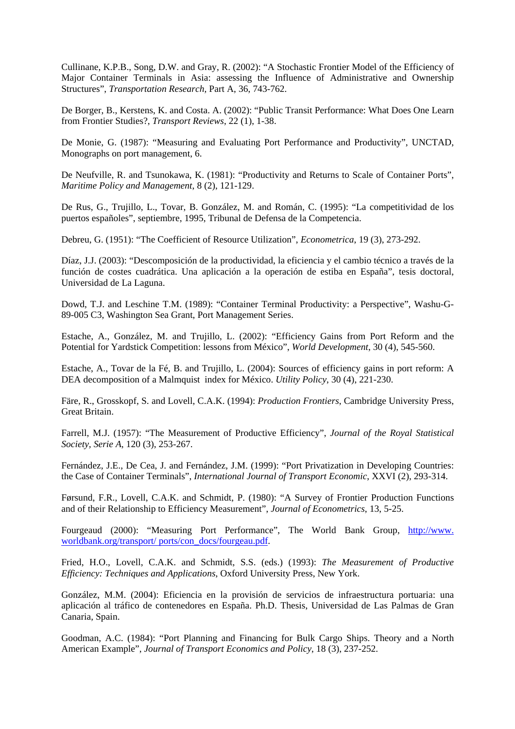Cullinane, K.P.B., Song, D.W. and Gray, R. (2002): "A Stochastic Frontier Model of the Efficiency of Major Container Terminals in Asia: assessing the Influence of Administrative and Ownership Structures", *Transportation Research,* Part A, 36, 743-762.

De Borger, B., Kerstens, K. and Costa. A. (2002): "Public Transit Performance: What Does One Learn from Frontier Studies?, *Transport Reviews*, 22 (1), 1-38.

De Monie, G. (1987): "Measuring and Evaluating Port Performance and Productivity", UNCTAD, Monographs on port management, 6.

De Neufville, R. and Tsunokawa, K. (1981): "Productivity and Returns to Scale of Container Ports", *Maritime Policy and Management*, 8 (2), 121-129.

De Rus, G., Trujillo, L., Tovar, B. González, M. and Román, C. (1995): "La competitividad de los puertos españoles", septiembre, 1995, Tribunal de Defensa de la Competencia.

Debreu, G. (1951): "The Coefficient of Resource Utilization", *Econometrica*, 19 (3), 273-292.

Díaz, J.J. (2003): "Descomposición de la productividad, la eficiencia y el cambio técnico a través de la función de costes cuadrática. Una aplicación a la operación de estiba en España", tesis doctoral, Universidad de La Laguna.

Dowd, T.J. and Leschine T.M. (1989): "Container Terminal Productivity: a Perspective", Washu-G-89-005 C3, Washington Sea Grant, Port Management Series.

Estache, A., González, M. and Trujillo, L. (2002): "Efficiency Gains from Port Reform and the Potential for Yardstick Competition: lessons from México", *World Development*, 30 (4), 545-560.

Estache, A., Tovar de la Fé, B. and Trujillo, L. (2004): Sources of efficiency gains in port reform: A DEA decomposition of a Malmquist index for México. *Utility Policy*, 30 (4), 221-230.

Färe, R., Grosskopf, S. and Lovell, C.A.K. (1994): *Production Frontiers*, Cambridge University Press, Great Britain.

Farrell, M.J. (1957): "The Measurement of Productive Efficiency", *Journal of the Royal Statistical Society, Serie A*, 120 (3), 253-267.

Fernández, J.E., De Cea, J. and Fernández, J.M. (1999): "Port Privatization in Developing Countries: the Case of Container Terminals", *International Journal of Transport Economic*, XXVI (2), 293-314.

Førsund, F.R., Lovell, C.A.K. and Schmidt, P. (1980): "A Survey of Frontier Production Functions and of their Relationship to Efficiency Measurement", *Journal of Econometrics*, 13, 5-25.

Fourgeaud (2000): "Measuring Port Performance", The World Bank Group, http://www. worldbank.org/transport/ ports/con\_docs/fourgeau.pdf.

Fried, H.O., Lovell, C.A.K. and Schmidt, S.S. (eds.) (1993): *The Measurement of Productive Efficiency: Techniques and Applications*, Oxford University Press, New York.

González, M.M. (2004): Eficiencia en la provisión de servicios de infraestructura portuaria: una aplicación al tráfico de contenedores en España. Ph.D. Thesis, Universidad de Las Palmas de Gran Canaria, Spain.

Goodman, A.C. (1984): "Port Planning and Financing for Bulk Cargo Ships. Theory and a North American Example", *Journal of Transport Economics and Policy*, 18 (3), 237-252.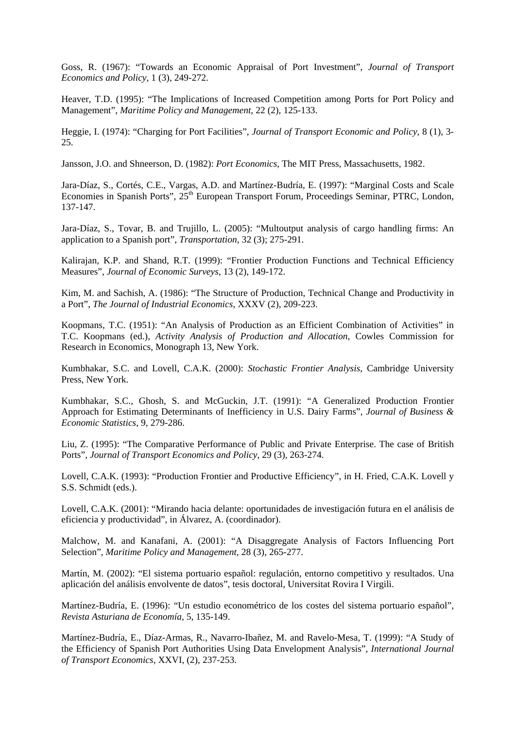Goss, R. (1967): "Towards an Economic Appraisal of Port Investment", *Journal of Transport Economics and Policy*, 1 (3), 249-272.

Heaver, T.D. (1995): "The Implications of Increased Competition among Ports for Port Policy and Management", *Maritime Policy and Management*, 22 (2), 125-133.

Heggie, I. (1974): "Charging for Port Facilities", *Journal of Transport Economic and Policy*, 8 (1), 3- 25.

Jansson, J.O. and Shneerson, D. (1982): *Port Economics*, The MIT Press, Massachusetts, 1982.

Jara-Díaz, S., Cortés, C.E., Vargas, A.D. and Martínez-Budría, E. (1997): "Marginal Costs and Scale Economies in Spanish Ports",  $25<sup>th</sup>$  European Transport Forum, Proceedings Seminar, PTRC, London, 137-147.

Jara-Díaz, S., Tovar, B. and Trujillo, L. (2005): "Multoutput analysis of cargo handling firms: An application to a Spanish port", *Transportation*, 32 (3); 275-291.

Kalirajan, K.P. and Shand, R.T. (1999): "Frontier Production Functions and Technical Efficiency Measures", *Journal of Economic Surveys*, 13 (2), 149-172.

Kim, M. and Sachish, A. (1986): "The Structure of Production, Technical Change and Productivity in a Port", *The Journal of Industrial Economics*, XXXV (2), 209-223.

Koopmans, T.C. (1951): "An Analysis of Production as an Efficient Combination of Activities" in T.C. Koopmans (ed.), *Activity Analysis of Production and Allocation*, Cowles Commission for Research in Economics, Monograph 13, New York.

Kumbhakar, S.C. and Lovell, C.A.K. (2000): *Stochastic Frontier Analysis*, Cambridge University Press, New York.

Kumbhakar, S.C., Ghosh, S. and McGuckin, J.T. (1991): "A Generalized Production Frontier Approach for Estimating Determinants of Inefficiency in U.S. Dairy Farms", *Journal of Business & Economic Statistics*, 9, 279-286.

Liu, Z. (1995): "The Comparative Performance of Public and Private Enterprise. The case of British Ports", *Journal of Transport Economics and Policy*, 29 (3), 263-274.

Lovell, C.A.K. (1993): "Production Frontier and Productive Efficiency", in H. Fried, C.A.K. Lovell y S.S. Schmidt (eds.).

Lovell, C.A.K. (2001): "Mirando hacia delante: oportunidades de investigación futura en el análisis de eficiencia y productividad", in Álvarez, A. (coordinador).

Malchow, M. and Kanafani, A. (2001): "A Disaggregate Analysis of Factors Influencing Port Selection", *Maritime Policy and Management*, 28 (3), 265-277.

Martín, M. (2002): "El sistema portuario español: regulación, entorno competitivo y resultados. Una aplicación del análisis envolvente de datos", tesis doctoral, Universitat Rovira I Virgili.

Martínez-Budría, E. (1996): "Un estudio econométrico de los costes del sistema portuario español", *Revista Asturiana de Economía*, 5, 135-149.

Martínez-Budría, E., Díaz-Armas, R., Navarro-Ibañez, M. and Ravelo-Mesa, T. (1999): "A Study of the Efficiency of Spanish Port Authorities Using Data Envelopment Analysis", *International Journal of Transport Economics*, XXVI, (2), 237-253.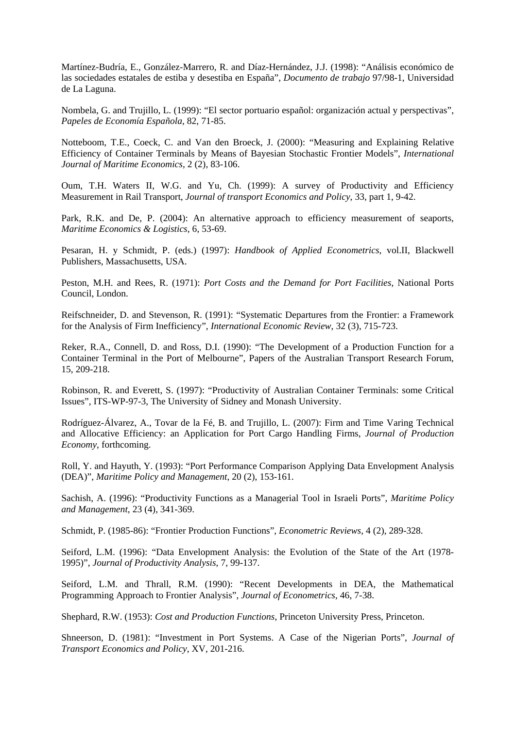Martínez-Budría, E., González-Marrero, R. and Díaz-Hernández, J.J. (1998): "Análisis económico de las sociedades estatales de estiba y desestiba en España", *Documento de trabajo* 97/98-1, Universidad de La Laguna.

Nombela, G. and Trujillo, L. (1999): "El sector portuario español: organización actual y perspectivas", *Papeles de Economía Española*, 82, 71-85.

Notteboom, T.E., Coeck, C. and Van den Broeck, J. (2000): "Measuring and Explaining Relative Efficiency of Container Terminals by Means of Bayesian Stochastic Frontier Models", *International Journal of Maritime Economics*, 2 (2), 83-106.

Oum, T.H. Waters II, W.G. and Yu, Ch. (1999): A survey of Productivity and Efficiency Measurement in Rail Transport, *Journal of transport Economics and Policy*, 33, part 1, 9-42.

Park, R.K. and De, P. (2004): An alternative approach to efficiency measurement of seaports, *Maritime Economics & Logistics*, 6, 53-69.

Pesaran, H. y Schmidt, P. (eds.) (1997): *Handbook of Applied Econometrics*, vol.II, Blackwell Publishers, Massachusetts, USA.

Peston, M.H. and Rees, R. (1971): *Port Costs and the Demand for Port Facilities*, National Ports Council, London.

Reifschneider, D. and Stevenson, R. (1991): "Systematic Departures from the Frontier: a Framework for the Analysis of Firm Inefficiency", *International Economic Review*, 32 (3), 715-723.

Reker, R.A., Connell, D. and Ross, D.I. (1990): "The Development of a Production Function for a Container Terminal in the Port of Melbourne", Papers of the Australian Transport Research Forum, 15, 209-218.

Robinson, R. and Everett, S. (1997): "Productivity of Australian Container Terminals: some Critical Issues", ITS-WP-97-3, The University of Sidney and Monash University.

Rodríguez-Álvarez, A., Tovar de la Fé, B. and Trujillo, L. (2007): Firm and Time Varing Technical and Allocative Efficiency: an Application for Port Cargo Handling Firms, *Journal of Production Economy*, forthcoming.

Roll, Y. and Hayuth, Y. (1993): "Port Performance Comparison Applying Data Envelopment Analysis (DEA)", *Maritime Policy and Management*, 20 (2), 153-161.

Sachish, A. (1996): "Productivity Functions as a Managerial Tool in Israeli Ports", *Maritime Policy and Management*, 23 (4), 341-369.

Schmidt, P. (1985-86): "Frontier Production Functions", *Econometric Reviews*, 4 (2), 289-328.

Seiford, L.M. (1996): "Data Envelopment Analysis: the Evolution of the State of the Art (1978- 1995)", *Journal of Productivity Analysis*, 7, 99-137.

Seiford, L.M. and Thrall, R.M. (1990): "Recent Developments in DEA, the Mathematical Programming Approach to Frontier Analysis", *Journal of Econometrics*, 46, 7-38.

Shephard, R.W. (1953): *Cost and Production Functions*, Princeton University Press, Princeton.

Shneerson, D. (1981): "Investment in Port Systems. A Case of the Nigerian Ports", *Journal of Transport Economics and Policy*, XV, 201-216.